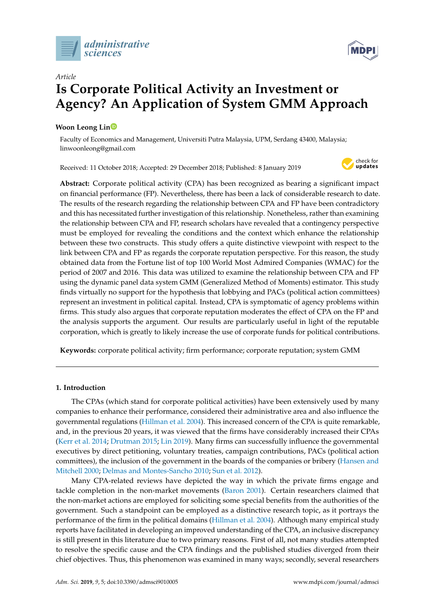



# *Article* **Is Corporate Political Activity an Investment or Agency? An Application of System GMM Approach**

## **Woon Leong Li[n](https://orcid.org/0000-0002-6568-412X)**

Faculty of Economics and Management, Universiti Putra Malaysia, UPM, Serdang 43400, Malaysia; linwoonleong@gmail.com

Received: 11 October 2018; Accepted: 29 December 2018; Published: 8 January 2019



**Abstract:** Corporate political activity (CPA) has been recognized as bearing a significant impact on financial performance (FP). Nevertheless, there has been a lack of considerable research to date. The results of the research regarding the relationship between CPA and FP have been contradictory and this has necessitated further investigation of this relationship. Nonetheless, rather than examining the relationship between CPA and FP, research scholars have revealed that a contingency perspective must be employed for revealing the conditions and the context which enhance the relationship between these two constructs. This study offers a quite distinctive viewpoint with respect to the link between CPA and FP as regards the corporate reputation perspective. For this reason, the study obtained data from the Fortune list of top 100 World Most Admired Companies (WMAC) for the period of 2007 and 2016. This data was utilized to examine the relationship between CPA and FP using the dynamic panel data system GMM (Generalized Method of Moments) estimator. This study finds virtually no support for the hypothesis that lobbying and PACs (political action committees) represent an investment in political capital. Instead, CPA is symptomatic of agency problems within firms. This study also argues that corporate reputation moderates the effect of CPA on the FP and the analysis supports the argument. Our results are particularly useful in light of the reputable corporation, which is greatly to likely increase the use of corporate funds for political contributions.

**Keywords:** corporate political activity; firm performance; corporate reputation; system GMM

## **1. Introduction**

The CPAs (which stand for corporate political activities) have been extensively used by many companies to enhance their performance, considered their administrative area and also influence the governmental regulations [\(Hillman et al.](#page-19-0) [2004\)](#page-19-0). This increased concern of the CPA is quite remarkable, and, in the previous 20 years, it was viewed that the firms have considerably increased their CPAs [\(Kerr et al.](#page-19-1) [2014;](#page-19-1) [Drutman](#page-18-0) [2015;](#page-18-0) [Lin](#page-19-2) [2019\)](#page-19-2). Many firms can successfully influence the governmental executives by direct petitioning, voluntary treaties, campaign contributions, PACs (political action committees), the inclusion of the government in the boards of the companies or bribery [\(Hansen and](#page-18-1) [Mitchell](#page-18-1) [2000;](#page-18-1) [Delmas and Montes-Sancho](#page-18-2) [2010;](#page-18-2) [Sun et al.](#page-21-0) [2012\)](#page-21-0).

Many CPA-related reviews have depicted the way in which the private firms engage and tackle completion in the non-market movements [\(Baron](#page-17-0) [2001\)](#page-17-0). Certain researchers claimed that the non-market actions are employed for soliciting some special benefits from the authorities of the government. Such a standpoint can be employed as a distinctive research topic, as it portrays the performance of the firm in the political domains [\(Hillman et al.](#page-19-0) [2004\)](#page-19-0). Although many empirical study reports have facilitated in developing an improved understanding of the CPA, an inclusive discrepancy is still present in this literature due to two primary reasons. First of all, not many studies attempted to resolve the specific cause and the CPA findings and the published studies diverged from their chief objectives. Thus, this phenomenon was examined in many ways; secondly, several researchers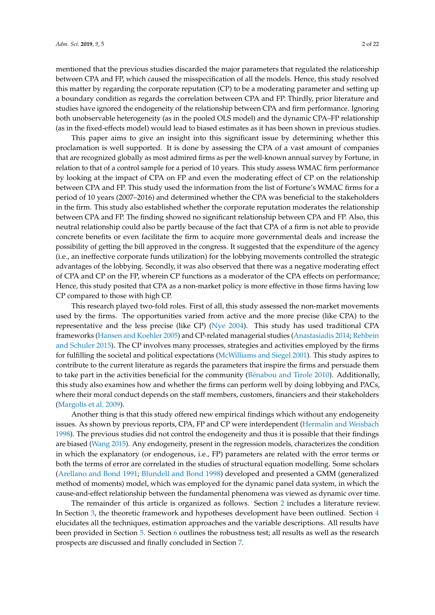mentioned that the previous studies discarded the major parameters that regulated the relationship between CPA and FP, which caused the misspecification of all the models. Hence, this study resolved this matter by regarding the corporate reputation (CP) to be a moderating parameter and setting up a boundary condition as regards the correlation between CPA and FP. Thirdly, prior literature and studies have ignored the endogeneity of the relationship between CPA and firm performance. Ignoring both unobservable heterogeneity (as in the pooled OLS model) and the dynamic CPA–FP relationship (as in the fixed-effects model) would lead to biased estimates as it has been shown in previous studies.

This paper aims to give an insight into this significant issue by determining whether this proclamation is well supported. It is done by assessing the CPA of a vast amount of companies that are recognized globally as most admired firms as per the well-known annual survey by Fortune, in relation to that of a control sample for a period of 10 years. This study assess WMAC firm performance by looking at the impact of CPA on FP and even the moderating effect of CP on the relationship between CPA and FP. This study used the information from the list of Fortune's WMAC firms for a period of 10 years (2007–2016) and determined whether the CPA was beneficial to the stakeholders in the firm. This study also established whether the corporate reputation moderates the relationship between CPA and FP. The finding showed no significant relationship between CPA and FP. Also, this neutral relationship could also be partly because of the fact that CPA of a firm is not able to provide concrete benefits or even facilitate the firm to acquire more governmental deals and increase the possibility of getting the bill approved in the congress. It suggested that the expenditure of the agency (i.e., an ineffective corporate funds utilization) for the lobbying movements controlled the strategic advantages of the lobbying. Secondly, it was also observed that there was a negative moderating effect of CPA and CP on the FP, wherein CP functions as a moderator of the CPA effects on performance; Hence, this study posited that CPA as a non-market policy is more effective in those firms having low CP compared to those with high CP.

This research played two-fold roles. First of all, this study assessed the non-market movements used by the firms. The opportunities varied from active and the more precise (like CPA) to the representative and the less precise (like CP) [\(Nye](#page-20-0) [2004\)](#page-20-0). This study has used traditional CPA frameworks [\(Hansen and Koehler](#page-18-3) [2005\)](#page-18-3) and CP-related managerial studies [\(Anastasiadis](#page-17-1) [2014;](#page-17-1) [Rehbein](#page-20-1) [and Schuler](#page-20-1) [2015\)](#page-20-1). The CP involves many processes, strategies and activities employed by the firms for fulfilling the societal and political expectations [\(McWilliams and Siegel](#page-20-2) [2001\)](#page-20-2). This study aspires to contribute to the current literature as regards the parameters that inspire the firms and persuade them to take part in the activities beneficial for the community (Bé[nabou and Tirole](#page-17-2) [2010\)](#page-17-2). Additionally, this study also examines how and whether the firms can perform well by doing lobbying and PACs, where their moral conduct depends on the staff members, customers, financiers and their stakeholders [\(Margolis et al.](#page-20-3) [2009\)](#page-20-3).

Another thing is that this study offered new empirical findings which without any endogeneity issues. As shown by previous reports, CPA, FP and CP were interdependent [\(Hermalin and Weisbach](#page-19-3) [1998\)](#page-19-3). The previous studies did not control the endogeneity and thus it is possible that their findings are biased [\(Wang](#page-21-1) [2015\)](#page-21-1). Any endogeneity, present in the regression models, characterizes the condition in which the explanatory (or endogenous, i.e., FP) parameters are related with the error terms or both the terms of error are correlated in the studies of structural equation modelling. Some scholars [\(Arellano and Bond](#page-17-3) [1991;](#page-17-3) [Blundell and Bond](#page-17-4) [1998\)](#page-17-4) developed and presented a GMM (generalized method of moments) model, which was employed for the dynamic panel data system, in which the cause-and-effect relationship between the fundamental phenomena was viewed as dynamic over time.

The remainder of this article is organized as follows. Section [2](#page-2-0) includes a literature review. In Section [3,](#page-4-0) the theoretic framework and hypotheses development have been outlined. Section [4](#page-5-0) elucidates all the techniques, estimation approaches and the variable descriptions. All results have been provided in Section [5.](#page-9-0) Section [6](#page-13-0) outlines the robustness test; all results as well as the research prospects are discussed and finally concluded in Section [7.](#page-15-0)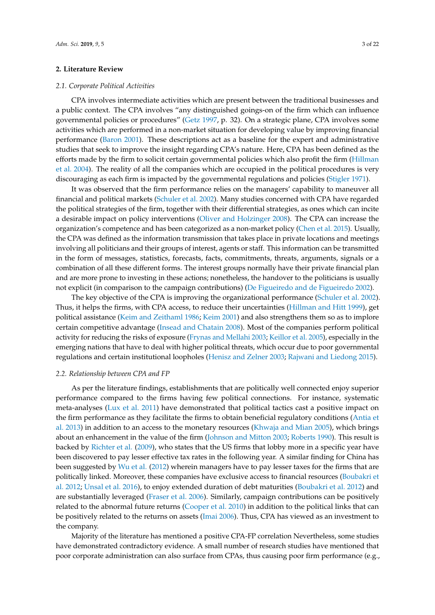## <span id="page-2-0"></span>**2. Literature Review**

#### *2.1. Corporate Political Activities*

CPA involves intermediate activities which are present between the traditional businesses and a public context. The CPA involves "any distinguished goings-on of the firm which can influence governmental policies or procedures" [\(Getz](#page-18-4) [1997,](#page-18-4) p. 32). On a strategic plane, CPA involves some activities which are performed in a non-market situation for developing value by improving financial performance [\(Baron](#page-17-0) [2001\)](#page-17-0). These descriptions act as a baseline for the expert and administrative studies that seek to improve the insight regarding CPA's nature. Here, CPA has been defined as the efforts made by the firm to solicit certain governmental policies which also profit the firm [\(Hillman](#page-19-0) [et al.](#page-19-0) [2004\)](#page-19-0). The reality of all the companies which are occupied in the political procedures is very discouraging as each firm is impacted by the governmental regulations and policies [\(Stigler](#page-20-4) [1971\)](#page-20-4).

It was observed that the firm performance relies on the managers' capability to maneuver all financial and political markets [\(Schuler et al.](#page-20-5) [2002\)](#page-20-5). Many studies concerned with CPA have regarded the political strategies of the firm, together with their differential strategies, as ones which can incite a desirable impact on policy interventions [\(Oliver and Holzinger](#page-20-6) [2008\)](#page-20-6). The CPA can increase the organization's competence and has been categorized as a non-market policy [\(Chen et al.](#page-17-5) [2015\)](#page-17-5). Usually, the CPA was defined as the information transmission that takes place in private locations and meetings involving all politicians and their groups of interest, agents or staff. This information can be transmitted in the form of messages, statistics, forecasts, facts, commitments, threats, arguments, signals or a combination of all these different forms. The interest groups normally have their private financial plan and are more prone to investing in these actions; nonetheless, the handover to the politicians is usually not explicit (in comparison to the campaign contributions) [\(De Figueiredo and de Figueiredo](#page-18-5) [2002\)](#page-18-5).

The key objective of the CPA is improving the organizational performance [\(Schuler et al.](#page-20-5) [2002\)](#page-20-5). Thus, it helps the firms, with CPA access, to reduce their uncertainties [\(Hillman and Hitt](#page-19-4) [1999\)](#page-19-4), get political assistance [\(Keim and Zeithaml](#page-19-5) [1986;](#page-19-5) [Keim](#page-19-6) [2001\)](#page-19-6) and also strengthens them so as to implore certain competitive advantage [\(Insead and Chatain](#page-19-7) [2008\)](#page-19-7). Most of the companies perform political activity for reducing the risks of exposure [\(Frynas and Mellahi](#page-18-6) [2003;](#page-18-6) [Keillor et al.](#page-19-8) [2005\)](#page-19-8), especially in the emerging nations that have to deal with higher political threats, which occur due to poor governmental regulations and certain institutional loopholes [\(Henisz and Zelner](#page-18-7) [2003;](#page-18-7) [Rajwani and Liedong](#page-20-7) [2015\)](#page-20-7).

## *2.2. Relationship between CPA and FP*

As per the literature findings, establishments that are politically well connected enjoy superior performance compared to the firms having few political connections. For instance, systematic meta-analyses [\(Lux et al.](#page-20-8) [2011\)](#page-20-8) have demonstrated that political tactics cast a positive impact on the firm performance as they facilitate the firms to obtain beneficial regulatory conditions [\(Antia et](#page-17-6) [al.](#page-17-6) [2013\)](#page-17-6) in addition to an access to the monetary resources [\(Khwaja and Mian](#page-19-9) [2005\)](#page-19-9), which brings about an enhancement in the value of the firm [\(Johnson and Mitton](#page-19-10) [2003;](#page-19-10) [Roberts](#page-20-9) [1990\)](#page-20-9). This result is backed by [Richter et al.](#page-20-10) [\(2009\)](#page-20-10), who states that the US firms that lobby more in a specific year have been discovered to pay lesser effective tax rates in the following year. A similar finding for China has been suggested by [Wu et al.](#page-21-2) [\(2012\)](#page-21-2) wherein managers have to pay lesser taxes for the firms that are politically linked. Moreover, these companies have exclusive access to financial resources [\(Boubakri et](#page-17-7) [al.](#page-17-7) [2012;](#page-17-7) [Unsal et al.](#page-21-3) [2016\)](#page-21-3), to enjoy extended duration of debt maturities [\(Boubakri et al.](#page-17-7) [2012\)](#page-17-7) and are substantially leveraged [\(Fraser et al.](#page-18-8) [2006\)](#page-18-8). Similarly, campaign contributions can be positively related to the abnormal future returns [\(Cooper et al.](#page-17-8) [2010\)](#page-17-8) in addition to the political links that can be positively related to the returns on assets [\(Imai](#page-19-11) [2006\)](#page-19-11). Thus, CPA has viewed as an investment to the company.

Majority of the literature has mentioned a positive CPA-FP correlation Nevertheless, some studies have demonstrated contradictory evidence. A small number of research studies have mentioned that poor corporate administration can also surface from CPAs, thus causing poor firm performance (e.g.,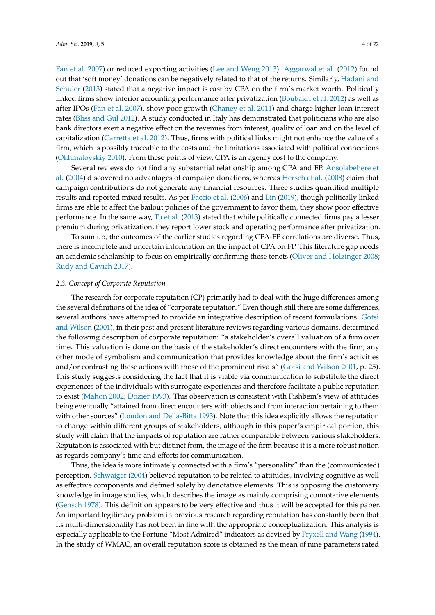[Fan et al.](#page-18-9) [2007\)](#page-18-9) or reduced exporting activities [\(Lee and Weng](#page-19-12) [2013\)](#page-19-12). [Aggarwal et al.](#page-16-0) [\(2012\)](#page-16-0) found out that 'soft money' donations can be negatively related to that of the returns. Similarly, [Hadani and](#page-18-10) [Schuler](#page-18-10) [\(2013\)](#page-18-10) stated that a negative impact is cast by CPA on the firm's market worth. Politically linked firms show inferior accounting performance after privatization [\(Boubakri et al.](#page-17-7) [2012\)](#page-17-7) as well as after IPOs [\(Fan et al.](#page-18-9) [2007\)](#page-18-9), show poor growth [\(Chaney et al.](#page-17-9) [2011\)](#page-17-9) and charge higher loan interest rates [\(Bliss and Gul](#page-17-10) [2012\)](#page-17-10). A study conducted in Italy has demonstrated that politicians who are also bank directors exert a negative effect on the revenues from interest, quality of loan and on the level of capitalization [\(Carretta et al.](#page-17-11) [2012\)](#page-17-11). Thus, firms with political links might not enhance the value of a firm, which is possibly traceable to the costs and the limitations associated with political connections [\(Okhmatovskiy](#page-20-11) [2010\)](#page-20-11). From these points of view, CPA is an agency cost to the company.

Several reviews do not find any substantial relationship among CPA and FP. [Ansolabehere et](#page-17-12) [al.](#page-17-12) [\(2004\)](#page-17-12) discovered no advantages of campaign donations, whereas [Hersch et al.](#page-19-13) [\(2008\)](#page-19-13) claim that campaign contributions do not generate any financial resources. Three studies quantified multiple results and reported mixed results. As per [Faccio et al.](#page-18-11) [\(2006\)](#page-18-11) and [Lin](#page-19-2) [\(2019\)](#page-19-2), though politically linked firms are able to affect the bailout policies of the government to favor them, they show poor effective performance. In the same way, [Tu et al.](#page-21-4) [\(2013\)](#page-21-4) stated that while politically connected firms pay a lesser premium during privatization, they report lower stock and operating performance after privatization.

To sum up, the outcomes of the earlier studies regarding CPA-FP correlations are diverse. Thus, there is incomplete and uncertain information on the impact of CPA on FP. This literature gap needs an academic scholarship to focus on empirically confirming these tenets [\(Oliver and Holzinger](#page-20-6) [2008;](#page-20-6) [Rudy and Cavich](#page-20-12) [2017\)](#page-20-12).

### *2.3. Concept of Corporate Reputation*

The research for corporate reputation (CP) primarily had to deal with the huge differences among the several definitions of the idea of "corporate reputation." Even though still there are some differences, several authors have attempted to provide an integrative description of recent formulations. [Gotsi](#page-18-12) [and Wilson](#page-18-12) [\(2001\)](#page-18-12), in their past and present literature reviews regarding various domains, determined the following description of corporate reputation: "a stakeholder's overall valuation of a firm over time. This valuation is done on the basis of the stakeholder's direct encounters with the firm, any other mode of symbolism and communication that provides knowledge about the firm's activities and/or contrasting these actions with those of the prominent rivals" [\(Gotsi and Wilson](#page-18-12) [2001,](#page-18-12) p. 25). This study suggests considering the fact that it is viable via communication to substitute the direct experiences of the individuals with surrogate experiences and therefore facilitate a public reputation to exist [\(Mahon](#page-20-13) [2002;](#page-20-13) [Dozier](#page-18-13) [1993\)](#page-18-13). This observation is consistent with Fishbein's view of attitudes being eventually "attained from direct encounters with objects and from interaction pertaining to them with other sources" [\(Loudon and Della-Bitta](#page-19-14) [1993\)](#page-19-14). Note that this idea explicitly allows the reputation to change within different groups of stakeholders, although in this paper's empirical portion, this study will claim that the impacts of reputation are rather comparable between various stakeholders. Reputation is associated with but distinct from, the image of the firm because it is a more robust notion as regards company's time and efforts for communication.

Thus, the idea is more intimately connected with a firm's "personality" than the (communicated) perception. [Schwaiger](#page-20-14) [\(2004\)](#page-20-14) believed reputation to be related to attitudes, involving cognitive as well as effective components and defined solely by denotative elements. This is opposing the customary knowledge in image studies, which describes the image as mainly comprising connotative elements [\(Gensch](#page-18-14) [1978\)](#page-18-14). This definition appears to be very effective and thus it will be accepted for this paper. An important legitimacy problem in previous research regarding reputation has constantly been that its multi-dimensionality has not been in line with the appropriate conceptualization. This analysis is especially applicable to the Fortune "Most Admired" indicators as devised by [Fryxell and Wang](#page-18-15) [\(1994\)](#page-18-15). In the study of WMAC, an overall reputation score is obtained as the mean of nine parameters rated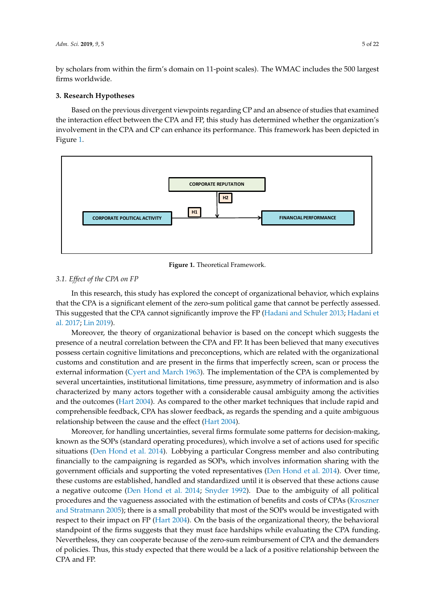by scholars from within the firm's domain on 11-point scales). The WMAC includes the 500 largest firms worldwide.

# <span id="page-4-0"></span>**3. Research Hypotheses 3. Research Hypotheses**

Based on the previous divergent viewpoints regarding CP and an absence of studies that examined Based on the previous divergent viewpoints regarding CP and an absence of studies that the interaction effect between the CPA and FP, this study has determined whether the organization's involvement in the CPA and CP can enhance its performance. This framework has been depicted in  $\,$ Figure 1.

<span id="page-4-1"></span>

**Figure 1.** Theoretical Framework. **Figure 1.** Theoretical Framework.

# *3.1. Effect of the CPA on FP 3.1. Effect of the CPA on FP*

In this research, this study has explored the concept of organizational behavior, which explains In this research, this study has explored the concept of organizational behavior, which explains that the CPA is a significant element of the zero-sum political game that cannot be perfectly assessed. that the CPA is a significant element of the zero-sum political game that cannot be perfectly assessed. This suggested that the CPA cannot significantly improve the FP (Hadani and Schuler 2013; Hadani This suggested that the CPA cannot significantly improve the FP [\(Hadani and Schuler](#page-18-10) [2013;](#page-18-10) [Hadani et](#page-18-16) et al. 2017; Lin 2019). [al.](#page-18-16) [2017;](#page-18-16) [Lin](#page-19-2) [2019\)](#page-19-2).

Moreover, the theory of organizational behavior is based on the concept which suggests the Moreover, the theory of organizational behavior is based on the concept which suggests the presence of a neutral correlation between the CPA and FP. It has been believed that many executives presence of a neutral correlation between the CPA and FP. It has been believed that many executives possess certain cognitive limitations and preconceptions, which are related with the organizational possess certain cognitive limitations and preconceptions, which are related with the organizational customs and constitution and are present in the firms that imperfectly screen, scan or process the customs and constitution and are present in the firms that imperfectly screen, scan or process the external information (Cyert and March 1963). The implementation of the CPA is complemented by external information [\(Cyert and March](#page-18-17) [1963\)](#page-18-17). The implementation of the CPA is complemented by several uncertainties, institutional limitations, time pressure, asymmetry of information and is also several uncertainties, institutional limitations, time pressure, asymmetry of information and is also characterized by many actors together with a considerable causal ambiguity among the activities and the outcomes [\(Hart](#page-18-18) [2004\)](#page-18-18). As compared to the other market techniques that include rapid and comprehensible feedback, CPA has slower feedback, as regards the spending and a quite ambiguous comprehensible feedback, CPA has slower feedback, as regards the spending and a quite ambiguous relationship between the cause and the effect (Hart 2004). relationship between the cause and the effect [\(Hart](#page-18-18) [2004\)](#page-18-18).

Moreover, for handling uncertainties, several firms formulate some patterns for decision-Moreover, for handling uncertainties, several firms formulate some patterns for decision-making, known as the SOPs (standard operating procedures), which involve a set of actions used for specific situations [\(Den Hond et al.](#page-18-19) [2014\)](#page-18-19). Lobbying a particular Congress member and also contributing contributing financial  $\alpha$  is regarded as  $\beta$  contributing is regarded as SOPs, which involves information sharing with financially to the campaigning is regarded as SOPs, which involves information sharing with the financially to the campaigning is regarded as SOPs, which involves information sharing with the government officials and supporting the voted representatives [\(Den Hond et al.](#page-18-19) [2014\)](#page-18-19). Over time, these customs are established, handled and standardized until it is observed that these actions cause a negative outcome [\(Den Hond et al.](#page-18-19) [2014;](#page-18-19) [Snyder](#page-20-15) [1992\)](#page-20-15). Due to the ambiguity of all political procedures and the vagueness associated with the estimation of benefits and costs of  $\mathrm{CPAs}$  [\(Kroszner](#page-19-15) [and Stratmann](#page-19-15) [2005\)](#page-19-15); there is a small probability that most of the SOPs would be investigated with respect to their impact on FP [\(Hart](#page-18-18) [2004\)](#page-18-18). On the basis of the organizational theory, the behavioral standpoint of the firms suggests that they must face hardships while evaluating the CPA funding. Nevertheless, they can cooperate because of the zero-sum reimbursement of CPA and the demanders of policies. Thus, this study expected that there would be a lack of a positive relationship between the CPA and FP.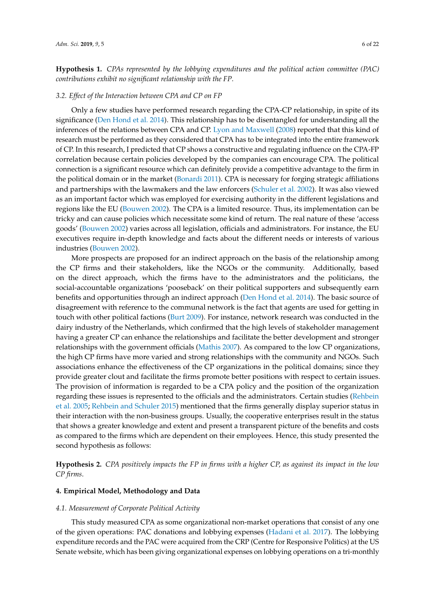**Hypothesis 1.** *CPAs represented by the lobbying expenditures and the political action committee (PAC) contributions exhibit no significant relationship with the FP*.

#### *3.2. Effect of the Interaction between CPA and CP on FP*

Only a few studies have performed research regarding the CPA-CP relationship, in spite of its significance [\(Den Hond et al.](#page-18-19) [2014\)](#page-18-19). This relationship has to be disentangled for understanding all the inferences of the relations between CPA and CP. [Lyon and Maxwell](#page-20-16) [\(2008\)](#page-20-16) reported that this kind of research must be performed as they considered that CPA has to be integrated into the entire framework of CP. In this research, I predicted that CP shows a constructive and regulating influence on the CPA-FP correlation because certain policies developed by the companies can encourage CPA. The political connection is a significant resource which can definitely provide a competitive advantage to the firm in the political domain or in the market [\(Bonardi](#page-17-13) [2011\)](#page-17-13). CPA is necessary for forging strategic affiliations and partnerships with the lawmakers and the law enforcers [\(Schuler et al.](#page-20-5) [2002\)](#page-20-5). It was also viewed as an important factor which was employed for exercising authority in the different legislations and regions like the EU [\(Bouwen](#page-17-14) [2002\)](#page-17-14). The CPA is a limited resource. Thus, its implementation can be tricky and can cause policies which necessitate some kind of return. The real nature of these 'access goods' [\(Bouwen](#page-17-14) [2002\)](#page-17-14) varies across all legislation, officials and administrators. For instance, the EU executives require in-depth knowledge and facts about the different needs or interests of various industries [\(Bouwen](#page-17-14) [2002\)](#page-17-14).

More prospects are proposed for an indirect approach on the basis of the relationship among the CP firms and their stakeholders, like the NGOs or the community. Additionally, based on the direct approach, which the firms have to the administrators and the politicians, the social-accountable organizations 'pooseback' on their political supporters and subsequently earn benefits and opportunities through an indirect approach [\(Den Hond et al.](#page-18-19) [2014\)](#page-18-19). The basic source of disagreement with reference to the communal network is the fact that agents are used for getting in touch with other political factions [\(Burt](#page-17-15) [2009\)](#page-17-15). For instance, network research was conducted in the dairy industry of the Netherlands, which confirmed that the high levels of stakeholder management having a greater CP can enhance the relationships and facilitate the better development and stronger relationships with the government officials [\(Mathis](#page-20-17) [2007\)](#page-20-17). As compared to the low CP organizations, the high CP firms have more varied and strong relationships with the community and NGOs. Such associations enhance the effectiveness of the CP organizations in the political domains; since they provide greater clout and facilitate the firms promote better positions with respect to certain issues. The provision of information is regarded to be a CPA policy and the position of the organization regarding these issues is represented to the officials and the administrators. Certain studies [\(Rehbein](#page-20-18) [et al.](#page-20-18) [2005;](#page-20-18) [Rehbein and Schuler](#page-20-1) [2015\)](#page-20-1) mentioned that the firms generally display superior status in their interaction with the non-business groups. Usually, the cooperative enterprises result in the status that shows a greater knowledge and extent and present a transparent picture of the benefits and costs as compared to the firms which are dependent on their employees. Hence, this study presented the second hypothesis as follows:

**Hypothesis 2.** *CPA positively impacts the FP in firms with a higher CP, as against its impact in the low CP firms*.

## <span id="page-5-0"></span>**4. Empirical Model, Methodology and Data**

#### *4.1. Measurement of Corporate Political Activity*

This study measured CPA as some organizational non-market operations that consist of any one of the given operations: PAC donations and lobbying expenses [\(Hadani et al.](#page-18-16) [2017\)](#page-18-16). The lobbying expenditure records and the PAC were acquired from the CRP (Centre for Responsive Politics) at the US Senate website, which has been giving organizational expenses on lobbying operations on a tri-monthly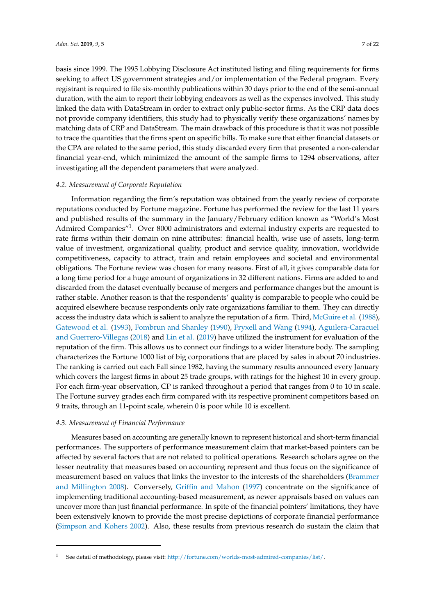basis since 1999. The 1995 Lobbying Disclosure Act instituted listing and filing requirements for firms seeking to affect US government strategies and/or implementation of the Federal program. Every registrant is required to file six-monthly publications within 30 days prior to the end of the semi-annual duration, with the aim to report their lobbying endeavors as well as the expenses involved. This study linked the data with DataStream in order to extract only public-sector firms. As the CRP data does not provide company identifiers, this study had to physically verify these organizations' names by matching data of CRP and DataStream. The main drawback of this procedure is that it was not possible to trace the quantities that the firms spent on specific bills. To make sure that either financial datasets or the CPA are related to the same period, this study discarded every firm that presented a non-calendar financial year-end, which minimized the amount of the sample firms to 1294 observations, after investigating all the dependent parameters that were analyzed.

## *4.2. Measurement of Corporate Reputation*

Information regarding the firm's reputation was obtained from the yearly review of corporate reputations conducted by Fortune magazine. Fortune has performed the review for the last 11 years and published results of the summary in the January/February edition known as "World's Most Admired Companies"<sup>1</sup>. Over 8000 administrators and external industry experts are requested to rate firms within their domain on nine attributes: financial health, wise use of assets, long-term value of investment, organizational quality, product and service quality, innovation, worldwide competitiveness, capacity to attract, train and retain employees and societal and environmental obligations. The Fortune review was chosen for many reasons. First of all, it gives comparable data for a long time period for a huge amount of organizations in 32 different nations. Firms are added to and discarded from the dataset eventually because of mergers and performance changes but the amount is rather stable. Another reason is that the respondents' quality is comparable to people who could be acquired elsewhere because respondents only rate organizations familiar to them. They can directly access the industry data which is salient to analyze the reputation of a firm. Third, [McGuire et al.](#page-20-19) [\(1988\)](#page-20-19), [Gatewood et al.](#page-18-20) [\(1993\)](#page-18-20), [Fombrun and Shanley](#page-18-21) [\(1990\)](#page-18-21), [Fryxell and Wang](#page-18-15) [\(1994\)](#page-18-15), [Aguilera-Caracuel](#page-17-16) [and Guerrero-Villegas](#page-17-16) [\(2018\)](#page-17-16) and [Lin et al.](#page-19-16) [\(2019\)](#page-19-16) have utilized the instrument for evaluation of the reputation of the firm. This allows us to connect our findings to a wider literature body. The sampling characterizes the Fortune 1000 list of big corporations that are placed by sales in about 70 industries. The ranking is carried out each Fall since 1982, having the summary results announced every January which covers the largest firms in about 25 trade groups, with ratings for the highest 10 in every group. For each firm-year observation, CP is ranked throughout a period that ranges from 0 to 10 in scale. The Fortune survey grades each firm compared with its respective prominent competitors based on 9 traits, through an 11-point scale, wherein 0 is poor while 10 is excellent.

#### *4.3. Measurement of Financial Performance*

Measures based on accounting are generally known to represent historical and short-term financial performances. The supporters of performance measurement claim that market-based pointers can be affected by several factors that are not related to political operations. Research scholars agree on the lesser neutrality that measures based on accounting represent and thus focus on the significance of measurement based on values that links the investor to the interests of the shareholders [\(Brammer](#page-17-17) [and Millington](#page-17-17) [2008\)](#page-17-17). Conversely, [Griffin and Mahon](#page-18-22) [\(1997\)](#page-18-22) concentrate on the significance of implementing traditional accounting-based measurement, as newer appraisals based on values can uncover more than just financial performance. In spite of the financial pointers' limitations, they have been extensively known to provide the most precise depictions of corporate financial performance [\(Simpson and Kohers](#page-20-20) [2002\)](#page-20-20). Also, these results from previous research do sustain the claim that

<sup>1</sup> See detail of methodology, please visit: [http://fortune.com/worlds-most-admired-companies/list/.](http://fortune.com/worlds-most-admired-companies/list/)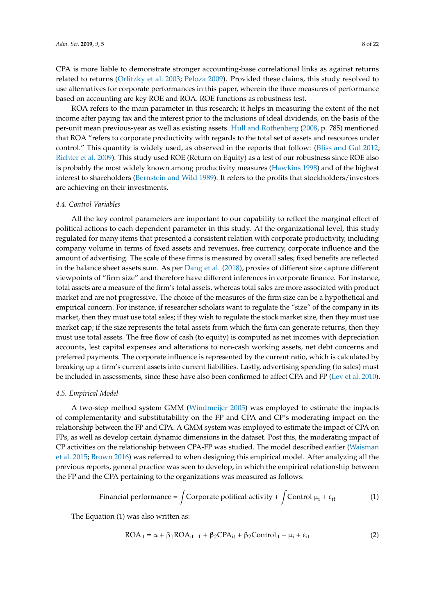CPA is more liable to demonstrate stronger accounting-base correlational links as against returns related to returns [\(Orlitzky et al.](#page-20-21) [2003;](#page-20-21) [Peloza](#page-20-22) [2009\)](#page-20-22). Provided these claims, this study resolved to use alternatives for corporate performances in this paper, wherein the three measures of performance based on accounting are key ROE and ROA. ROE functions as robustness test.

ROA refers to the main parameter in this research; it helps in measuring the extent of the net income after paying tax and the interest prior to the inclusions of ideal dividends, on the basis of the per-unit mean previous-year as well as existing assets. [Hull and Rothenberg](#page-19-17) [\(2008,](#page-19-17) p. 785) mentioned that ROA "refers to corporate productivity with regards to the total set of assets and resources under control." This quantity is widely used, as observed in the reports that follow: [\(Bliss and Gul](#page-17-10) [2012;](#page-17-10) [Richter et al.](#page-20-10) [2009\)](#page-20-10). This study used ROE (Return on Equity) as a test of our robustness since ROE also is probably the most widely known among productivity measures [\(Hawkins](#page-18-23) [1998\)](#page-18-23) and of the highest interest to shareholders [\(Bernstein and Wild](#page-17-18) [1989\)](#page-17-18). It refers to the profits that stockholders/investors are achieving on their investments.

#### *4.4. Control Variables*

All the key control parameters are important to our capability to reflect the marginal effect of political actions to each dependent parameter in this study. At the organizational level, this study regulated for many items that presented a consistent relation with corporate productivity, including company volume in terms of fixed assets and revenues, free currency, corporate influence and the amount of advertising. The scale of these firms is measured by overall sales; fixed benefits are reflected in the balance sheet assets sum. As per [Dang et al.](#page-18-24) [\(2018\)](#page-18-24), proxies of different size capture different viewpoints of "firm size" and therefore have different inferences in corporate finance. For instance, total assets are a measure of the firm's total assets, whereas total sales are more associated with product market and are not progressive. The choice of the measures of the firm size can be a hypothetical and empirical concern. For instance, if researcher scholars want to regulate the "size" of the company in its market, then they must use total sales; if they wish to regulate the stock market size, then they must use market cap; if the size represents the total assets from which the firm can generate returns, then they must use total assets. The free flow of cash (to equity) is computed as net incomes with depreciation accounts, lest capital expenses and alterations to non-cash working assets, net debt concerns and preferred payments. The corporate influence is represented by the current ratio, which is calculated by breaking up a firm's current assets into current liabilities. Lastly, advertising spending (to sales) must be included in assessments, since these have also been confirmed to affect CPA and FP [\(Lev et al.](#page-19-18) [2010\)](#page-19-18).

#### *4.5. Empirical Model*

A two-step method system GMM [\(Windmeijer](#page-21-5) [2005\)](#page-21-5) was employed to estimate the impacts of complementarity and substitutability on the FP and CPA and CP's moderating impact on the relationship between the FP and CPA. A GMM system was employed to estimate the impact of CPA on FPs, as well as develop certain dynamic dimensions in the dataset. Post this, the moderating impact of CP activities on the relationship between CPA-FP was studied. The model described earlier [\(Waisman](#page-21-6) [et al.](#page-21-6) [2015;](#page-21-6) [Brown](#page-17-19) [2016\)](#page-17-19) was referred to when designing this empirical model. After analyzing all the previous reports, general practice was seen to develop, in which the empirical relationship between the FP and the CPA pertaining to the organizations was measured as follows:

Financial performance = 
$$
\int
$$
 Corporate political activity +  $\int$  Control  $\mu_i + \varepsilon_{it}$  (1)

The Equation (1) was also written as:

$$
ROA_{it} = \alpha + \beta_1 ROA_{it-1} + \beta_2 CPA_{it} + \beta_2 Control_{it} + \mu_i + \varepsilon_{it}
$$
 (2)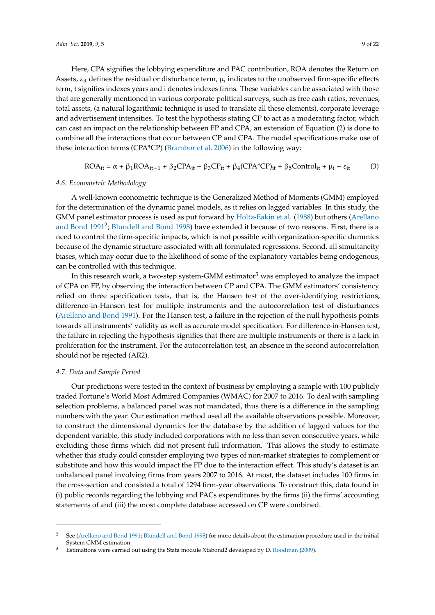Here, CPA signifies the lobbying expenditure and PAC contribution, ROA denotes the Return on Assets,  $\varepsilon_{it}$  defines the residual or disturbance term,  $\mu_i$  indicates to the unobserved firm-specific effects term, t signifies indexes years and i denotes indexes firms. These variables can be associated with those that are generally mentioned in various corporate political surveys, such as free cash ratios, revenues, total assets, (a natural logarithmic technique is used to translate all these elements), corporate leverage and advertisement intensities. To test the hypothesis stating CP to act as a moderating factor, which can cast an impact on the relationship between FP and CPA, an extension of Equation (2) is done to combine all the interactions that occur between CP and CPA. The model specifications make use of these interaction terms (CPA\*CP) [\(Brambor et al.](#page-17-20) [2006\)](#page-17-20) in the following way:

$$
ROA_{it} = \alpha + \beta_1 ROA_{it-1} + \beta_2 CPA_{it} + \beta_3 CP_{it} + \beta_4 (CPA^*CP)_{it} + \beta_5 Control_{it} + \mu_i + \varepsilon_{it}
$$
 (3)

## *4.6. Econometric Methodology*

A well-known econometric technique is the Generalized Method of Moments (GMM) employed for the determination of the dynamic panel models, as it relies on lagged variables. In this study, the GMM panel estimator process is used as put forward by [Holtz-Eakin et al.](#page-19-19) [\(1988\)](#page-19-19) but others [\(Arellano](#page-17-3) [and Bond](#page-17-3) [1991](#page-17-3)<sup>2</sup>; [Blundell and Bond](#page-17-4) [1998\)](#page-17-4) have extended it because of two reasons. First, there is a need to control the firm-specific impacts, which is not possible with organization-specific dummies because of the dynamic structure associated with all formulated regressions. Second, all simultaneity biases, which may occur due to the likelihood of some of the explanatory variables being endogenous, can be controlled with this technique.

In this research work, a two-step system-GMM estimator<sup>3</sup> was employed to analyze the impact of CPA on FP, by observing the interaction between CP and CPA. The GMM estimators' consistency relied on three specification tests, that is, the Hansen test of the over-identifying restrictions, difference-in-Hansen test for multiple instruments and the autocorrelation test of disturbances [\(Arellano and Bond](#page-17-3) [1991\)](#page-17-3). For the Hansen test, a failure in the rejection of the null hypothesis points towards all instruments' validity as well as accurate model specification. For difference-in-Hansen test, the failure in rejecting the hypothesis signifies that there are multiple instruments or there is a lack in proliferation for the instrument. For the autocorrelation test, an absence in the second autocorrelation should not be rejected (AR2).

## *4.7. Data and Sample Period*

Our predictions were tested in the context of business by employing a sample with 100 publicly traded Fortune's World Most Admired Companies (WMAC) for 2007 to 2016. To deal with sampling selection problems, a balanced panel was not mandated, thus there is a difference in the sampling numbers with the year. Our estimation method used all the available observations possible. Moreover, to construct the dimensional dynamics for the database by the addition of lagged values for the dependent variable, this study included corporations with no less than seven consecutive years, while excluding those firms which did not present full information. This allows the study to estimate whether this study could consider employing two types of non-market strategies to complement or substitute and how this would impact the FP due to the interaction effect. This study's dataset is an unbalanced panel involving firms from years 2007 to 2016. At most, the dataset includes 100 firms in the cross-section and consisted a total of 1294 firm-year observations. To construct this, data found in (i) public records regarding the lobbying and PACs expenditures by the firms (ii) the firms' accounting statements of and (iii) the most complete database accessed on CP were combined.

<sup>&</sup>lt;sup>2</sup> See [\(Arellano and Bond](#page-17-3) [1991;](#page-17-3) [Blundell and Bond](#page-17-4) [1998\)](#page-17-4) for more details about the estimation procedure used in the initial System GMM estimation.

<sup>&</sup>lt;sup>3</sup> Estimations were carried out using the Stata module Xtabond2 developed by D. [Roodman](#page-20-23) [\(2009\)](#page-20-23).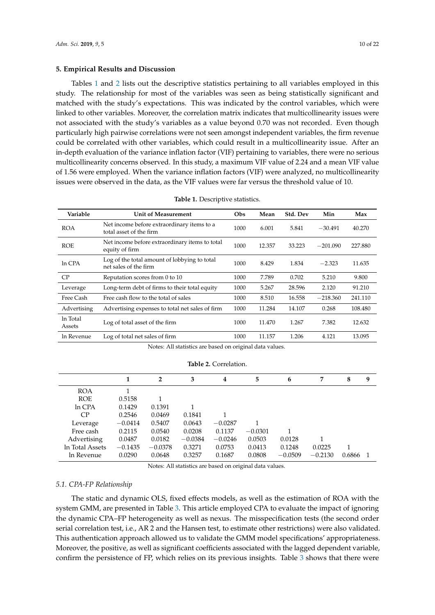### <span id="page-9-0"></span>**5. Empirical Results and Discussion**

Tables [1](#page-9-1) and [2](#page-9-2) lists out the descriptive statistics pertaining to all variables employed in this study. The relationship for most of the variables was seen as being statistically significant and matched with the study's expectations. This was indicated by the control variables, which were linked to other variables. Moreover, the correlation matrix indicates that multicollinearity issues were not associated with the study's variables as a value beyond 0.70 was not recorded. Even though particularly high pairwise correlations were not seen amongst independent variables, the firm revenue could be correlated with other variables, which could result in a multicollinearity issue. After an in-depth evaluation of the variance inflation factor (VIF) pertaining to variables, there were no serious multicollinearity concerns observed. In this study, a maximum VIF value of 2.24 and a mean VIF value of 1.56 were employed. When the variance inflation factors (VIF) were analyzed, no multicollinearity issues were observed in the data, as the VIF values were far versus the threshold value of 10.

<span id="page-9-1"></span>

| Variable           | <b>Unit of Measurement</b>                                            | Obs  | Mean   | Std. Dev | Min        | Max     |
|--------------------|-----------------------------------------------------------------------|------|--------|----------|------------|---------|
| <b>ROA</b>         | Net income before extraordinary items to a<br>total asset of the firm | 1000 | 6.001  | 5.841    | $-30.491$  | 40.270  |
| <b>ROE</b>         | Net income before extraordinary items to total<br>equity of firm      |      | 12.357 | 33.223   | $-201.090$ | 227.880 |
| ln CPA             | Log of the total amount of lobbying to total<br>net sales of the firm | 1000 | 8.429  | 1.834    | $-2.323$   | 11.635  |
| CP                 | Reputation scores from 0 to 10                                        | 1000 | 7.789  | 0.702    | 5.210      | 9.800   |
| Leverage           | Long-term debt of firms to their total equity                         | 1000 | 5.267  | 28.596   | 2.120      | 91.210  |
| Free Cash          | Free cash flow to the total of sales                                  | 1000 | 8.510  | 16.558   | $-218,360$ | 241.110 |
| Advertising        | Advertising expenses to total net sales of firm                       | 1000 | 11.284 | 14.107   | 0.268      | 108.480 |
| ln Total<br>Assets | Log of total asset of the firm                                        | 1000 | 11.470 | 1.267    | 7.382      | 12.632  |
| In Revenue         | Log of total net sales of firm                                        | 1000 | 11.157 | 1.206    | 4.121      | 13.095  |

| <b>Table 1.</b> Descriptive statistics. |  |
|-----------------------------------------|--|
|-----------------------------------------|--|

Notes: All statistics are based on original data values.

<span id="page-9-2"></span>

|                 |           |                |           | 10010 <b>=</b> COIICRIDIE |           |           |           |        |   |
|-----------------|-----------|----------------|-----------|---------------------------|-----------|-----------|-----------|--------|---|
|                 | 1         | $\overline{2}$ | 3         | 4                         | 5         | 6         | 7         | 8      | 9 |
| <b>ROA</b>      |           |                |           |                           |           |           |           |        |   |
| <b>ROE</b>      | 0.5158    |                |           |                           |           |           |           |        |   |
| ln CPA          | 0.1429    | 0.1391         |           |                           |           |           |           |        |   |
| CP              | 0.2546    | 0.0469         | 0.1841    |                           |           |           |           |        |   |
| Leverage        | $-0.0414$ | 0.5407         | 0.0643    | $-0.0287$                 |           |           |           |        |   |
| Free cash       | 0.2115    | 0.0540         | 0.0208    | 0.1137                    | $-0.0301$ |           |           |        |   |
| Advertising     | 0.0487    | 0.0182         | $-0.0384$ | $-0.0246$                 | 0.0503    | 0.0128    |           |        |   |
| In Total Assets | $-0.1435$ | $-0.0378$      | 0.3271    | 0.0753                    | 0.0413    | 0.1248    | 0.0225    |        |   |
| In Revenue      | 0.0290    | 0.0648         | 0.3257    | 0.1687                    | 0.0808    | $-0.0509$ | $-0.2130$ | 0.6866 |   |

# **Table 2.** Correlation.

Notes: All statistics are based on original data values.

#### *5.1. CPA-FP Relationship*

The static and dynamic OLS, fixed effects models, as well as the estimation of ROA with the system GMM, are presented in Table [3.](#page-10-0) This article employed CPA to evaluate the impact of ignoring the dynamic CPA–FP heterogeneity as well as nexus. The misspecification tests (the second order serial correlation test, i.e., AR 2 and the Hansen test, to estimate other restrictions) were also validated. This authentication approach allowed us to validate the GMM model specifications' appropriateness. Moreover, the positive, as well as significant coefficients associated with the lagged dependent variable, confirm the persistence of FP, which relies on its previous insights. Table [3](#page-10-0) shows that there were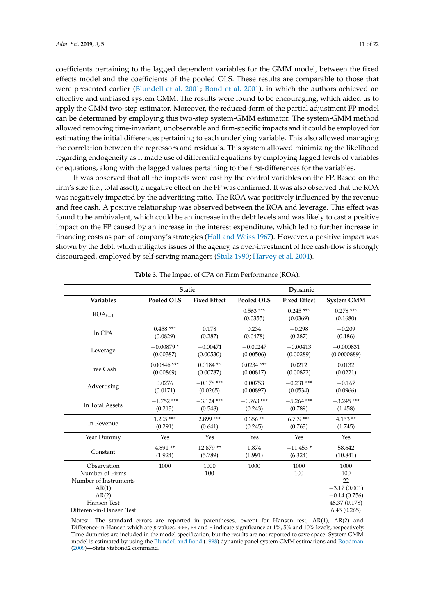coefficients pertaining to the lagged dependent variables for the GMM model, between the fixed effects model and the coefficients of the pooled OLS. These results are comparable to those that were presented earlier [\(Blundell et al.](#page-17-21) [2001;](#page-17-21) [Bond et al.](#page-17-22) [2001\)](#page-17-22), in which the authors achieved an effective and unbiased system GMM. The results were found to be encouraging, which aided us to apply the GMM two-step estimator. Moreover, the reduced-form of the partial adjustment FP model can be determined by employing this two-step system-GMM estimator. The system-GMM method allowed removing time-invariant, unobservable and firm-specific impacts and it could be employed for estimating the initial differences pertaining to each underlying variable. This also allowed managing the correlation between the regressors and residuals. This system allowed minimizing the likelihood regarding endogeneity as it made use of differential equations by employing lagged levels of variables or equations, along with the lagged values pertaining to the first-differences for the variables.

It was observed that all the impacts were cast by the control variables on the FP. Based on the firm's size (i.e., total asset), a negative effect on the FP was confirmed. It was also observed that the ROA was negatively impacted by the advertising ratio. The ROA was positively influenced by the revenue and free cash. A positive relationship was observed between the ROA and leverage. This effect was found to be ambivalent, which could be an increase in the debt levels and was likely to cast a positive impact on the FP caused by an increase in the interest expenditure, which led to further increase in financing costs as part of company's strategies [\(Hall and Weiss](#page-18-25) [1967\)](#page-18-25). However, a positive impact was shown by the debt, which mitigates issues of the agency, as over-investment of free cash-flow is strongly discouraged, employed by self-serving managers [\(Stulz](#page-20-24) [1990;](#page-20-24) [Harvey et al.](#page-18-26) [2004\)](#page-18-26).

<span id="page-10-0"></span>

|                                                                                                                      | <b>Static</b>     |                     |                         | Dynamic                |                                                                                       |
|----------------------------------------------------------------------------------------------------------------------|-------------------|---------------------|-------------------------|------------------------|---------------------------------------------------------------------------------------|
| Variables                                                                                                            | <b>Pooled OLS</b> | <b>Fixed Effect</b> | Pooled OLS              | <b>Fixed Effect</b>    | <b>System GMM</b>                                                                     |
| $ROA_{t-1}$                                                                                                          |                   |                     | $0.563$ ***<br>(0.0355) | $0.245***$<br>(0.0369) | $0.278$ ***<br>(0.1680)                                                               |
| ln CPA                                                                                                               | $0.458$ ***       | 0.178               | 0.234                   | $-0.298$               | $-0.209$                                                                              |
|                                                                                                                      | (0.0829)          | (0.287)             | (0.0478)                | (0.287)                | (0.186)                                                                               |
| Leverage                                                                                                             | $-0.00879*$       | $-0.00471$          | $-0.00247$              | $-0.00413$             | $-0.000831$                                                                           |
|                                                                                                                      | (0.00387)         | (0.00530)           | (0.00506)               | (0.00289)              | (0.0000889)                                                                           |
| Free Cash                                                                                                            | $0.00846$ ***     | $0.0184**$          | $0.0234$ ***            | 0.0212                 | 0.0132                                                                                |
|                                                                                                                      | (0.00869)         | (0.00787)           | (0.00817)               | (0.00872)              | (0.0221)                                                                              |
| Advertising                                                                                                          | 0.0276            | $-0.178$ ***        | 0.00753                 | $-0.231$ ***           | $-0.167$                                                                              |
|                                                                                                                      | (0.0171)          | (0.0265)            | (0.00897)               | (0.0534)               | (0.0966)                                                                              |
| In Total Assets                                                                                                      | $-1.752$ ***      | $-3.124$ ***        | $-0.763$ ***            | $-5.264$ ***           | $-3.245$ ***                                                                          |
|                                                                                                                      | (0.213)           | (0.548)             | (0.243)                 | (0.789)                | (1.458)                                                                               |
| In Revenue                                                                                                           | $1.205***$        | 2.899 ***           | $0.356**$               | $6.709$ ***            | $4.153**$                                                                             |
|                                                                                                                      | (0.291)           | (0.641)             | (0.245)                 | (0.763)                | (1.745)                                                                               |
| Year Dummy                                                                                                           | Yes               | Yes                 | Yes                     | Yes                    | Yes                                                                                   |
| Constant                                                                                                             | 4.891 **          | 12.879**            | 1.874                   | $-11.453*$             | 58.642                                                                                |
|                                                                                                                      | (1.924)           | (5.789)             | (1.991)                 | (6.324)                | (10.841)                                                                              |
| Observation<br>Number of Firms<br>Number of Instruments<br>AR(1)<br>AR(2)<br>Hansen Test<br>Different-in-Hansen Test | 1000              | 1000<br>100         | 1000                    | 1000<br>100            | 1000<br>100<br>22<br>$-3.17(0.001)$<br>$-0.14(0.756)$<br>48.37 (0.178)<br>6.45(0.265) |

**Table 3.** The Impact of CPA on Firm Performance (ROA).

Notes: The standard errors are reported in parentheses, except for Hansen test, AR(1), AR(2) and Difference-in-Hansen which are *p*-values. ∗∗∗, ∗∗ and ∗ indicate significance at 1%, 5% and 10% levels, respectively. Time dummies are included in the model specification, but the results are not reported to save space. System GMM model is estimated by using the [Blundell and Bond](#page-17-4) [\(1998\)](#page-17-4) dynamic panel system GMM estimations and [Roodman](#page-20-23) [\(2009\)](#page-20-23)—Stata xtabond2 command.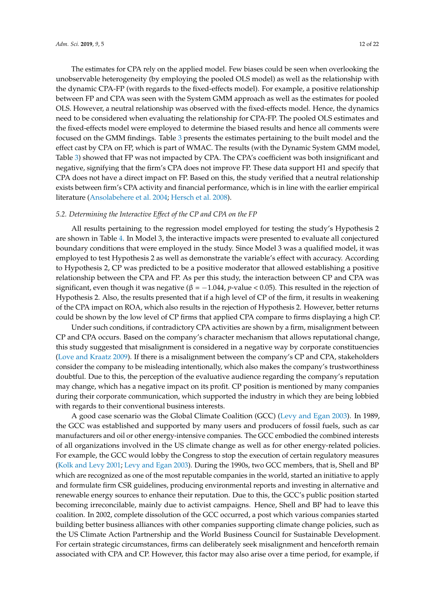The estimates for CPA rely on the applied model. Few biases could be seen when overlooking the unobservable heterogeneity (by employing the pooled OLS model) as well as the relationship with the dynamic CPA-FP (with regards to the fixed-effects model). For example, a positive relationship between FP and CPA was seen with the System GMM approach as well as the estimates for pooled OLS. However, a neutral relationship was observed with the fixed-effects model. Hence, the dynamics need to be considered when evaluating the relationship for CPA-FP. The pooled OLS estimates and the fixed-effects model were employed to determine the biased results and hence all comments were focused on the GMM findings. Table [3](#page-10-0) presents the estimates pertaining to the built model and the effect cast by CPA on FP, which is part of WMAC. The results (with the Dynamic System GMM model, Table [3\)](#page-10-0) showed that FP was not impacted by CPA. The CPA's coefficient was both insignificant and negative, signifying that the firm's CPA does not improve FP. These data support H1 and specify that CPA does not have a direct impact on FP. Based on this, the study verified that a neutral relationship exists between firm's CPA activity and financial performance, which is in line with the earlier empirical literature [\(Ansolabehere et al.](#page-17-12) [2004;](#page-17-12) [Hersch et al.](#page-19-13) [2008\)](#page-19-13).

## *5.2. Determining the Interactive Effect of the CP and CPA on the FP*

All results pertaining to the regression model employed for testing the study's Hypothesis 2 are shown in Table [4.](#page-12-0) In Model 3, the interactive impacts were presented to evaluate all conjectured boundary conditions that were employed in the study. Since Model 3 was a qualified model, it was employed to test Hypothesis 2 as well as demonstrate the variable's effect with accuracy. According to Hypothesis 2, CP was predicted to be a positive moderator that allowed establishing a positive relationship between the CPA and FP. As per this study, the interaction between CP and CPA was significant, even though it was negative ( $\beta = -1.044$ , *p*-value < 0.05). This resulted in the rejection of Hypothesis 2. Also, the results presented that if a high level of CP of the firm, it results in weakening of the CPA impact on ROA, which also results in the rejection of Hypothesis 2. However, better returns could be shown by the low level of CP firms that applied CPA compare to firms displaying a high CP.

Under such conditions, if contradictory CPA activities are shown by a firm, misalignment between CP and CPA occurs. Based on the company's character mechanism that allows reputational change, this study suggested that misalignment is considered in a negative way by corporate constituencies [\(Love and Kraatz](#page-20-25) [2009\)](#page-20-25). If there is a misalignment between the company's CP and CPA, stakeholders consider the company to be misleading intentionally, which also makes the company's trustworthiness doubtful. Due to this, the perception of the evaluative audience regarding the company's reputation may change, which has a negative impact on its profit. CP position is mentioned by many companies during their corporate communication, which supported the industry in which they are being lobbied with regards to their conventional business interests.

A good case scenario was the Global Climate Coalition (GCC) [\(Levy and Egan](#page-19-20) [2003\)](#page-19-20). In 1989, the GCC was established and supported by many users and producers of fossil fuels, such as car manufacturers and oil or other energy-intensive companies. The GCC embodied the combined interests of all organizations involved in the US climate change as well as for other energy-related policies. For example, the GCC would lobby the Congress to stop the execution of certain regulatory measures [\(Kolk and Levy](#page-19-21) [2001;](#page-19-21) [Levy and Egan](#page-19-20) [2003\)](#page-19-20). During the 1990s, two GCC members, that is, Shell and BP which are recognized as one of the most reputable companies in the world, started an initiative to apply and formulate firm CSR guidelines, producing environmental reports and investing in alternative and renewable energy sources to enhance their reputation. Due to this, the GCC's public position started becoming irreconcilable, mainly due to activist campaigns. Hence, Shell and BP had to leave this coalition. In 2002, complete dissolution of the GCC occurred, a post which various companies started building better business alliances with other companies supporting climate change policies, such as the US Climate Action Partnership and the World Business Council for Sustainable Development. For certain strategic circumstances, firms can deliberately seek misalignment and henceforth remain associated with CPA and CP. However, this factor may also arise over a time period, for example, if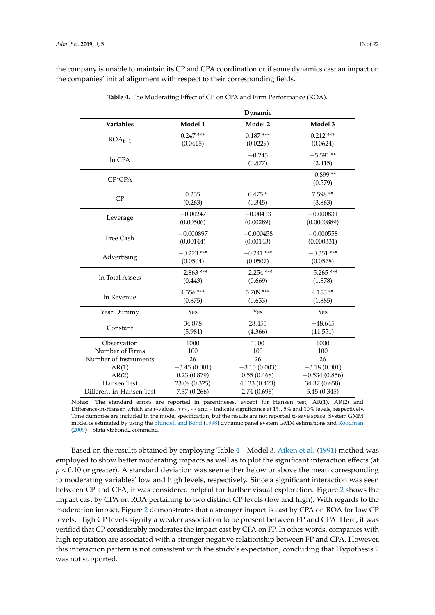<span id="page-12-0"></span>the company is unable to maintain its CP and CPA coordination or if some dynamics cast an impact on the companies' initial alignment with respect to their corresponding fields.

|                          |                | Dynamic        |                 |
|--------------------------|----------------|----------------|-----------------|
| Variables                | Model 1        | Model 2        | Model 3         |
| $ROA_{t-1}$              | $0.247***$     | $0.187***$     | $0.212***$      |
|                          | (0.0415)       | (0.0229)       | (0.0624)        |
|                          |                | $-0.245$       | $-5.591**$      |
| In CPA                   |                | (0.577)        | (2.415)         |
| CP*CPA                   |                |                | $-0.899**$      |
|                          |                |                | (0.579)         |
| CP                       | 0.235          | $0.475*$       | 7.598 **        |
|                          | (0.263)        | (0.345)        | (3.863)         |
| Leverage                 | $-0.00247$     | $-0.00413$     | $-0.000831$     |
|                          | (0.00506)      | (0.00289)      | (0.0000889)     |
| Free Cash                | $-0.000897$    | $-0.000458$    | $-0.000558$     |
|                          | (0.00144)      | (0.00143)      | (0.000331)      |
| Advertising              | $-0.223$ ***   | $-0.241$ ***   | $-0.351$ ***    |
|                          | (0.0504)       | (0.0507)       | (0.0578)        |
| In Total Assets          | $-2.863$ ***   | $-2.254$ ***   | $-5.265$ ***    |
|                          | (0.443)        | (0.669)        | (1.878)         |
| In Revenue               | 4.356 ***      | 5.709***       | $4.153**$       |
|                          | (0.875)        | (0.633)        | (1.885)         |
| Year Dummy               | Yes            | Yes            | Yes             |
| Constant                 | 34.878         | 28.455         | $-48.645$       |
|                          | (5.981)        | (4.366)        | (11.551)        |
| Observation              | 1000           | 1000           | 1000            |
| Number of Firms          | 100            | 100            | 100             |
| Number of Instruments    | 26             | 26             | 26              |
| AR(1)                    | $-3.45(0.001)$ | $-3.15(0.003)$ | $-3.18(0.001)$  |
| AR(2)                    | 0.23(0.879)    | 0.55(0.468)    | $-0.534(0.856)$ |
| Hansen Test              | 23.08 (0.325)  | 40.33 (0.423)  | 34.37 (0.658)   |
| Different-in-Hansen Test | 7.37 (0.266)   | 2.74 (0.696)   | 5.45(0.345)     |

**Table 4.** The Moderating Effect of CP on CPA and Firm Performance (ROA).

Notes: The standard errors are reported in parentheses, except for Hansen test, AR(1), AR(2) and Difference-in-Hansen which are *p*-values. ∗∗∗, ∗∗ and ∗ indicate significance at 1%, 5% and 10% levels, respectively. Time dummies are included in the model specification, but the results are not reported to save space. System GMM model is estimated by using the [Blundell and Bond](#page-17-4) [\(1998\)](#page-17-4) dynamic panel system GMM estimations and [Roodman](#page-20-23) [\(2009\)](#page-20-23)—Stata xtabond2 command.

Based on the results obtained by employing Table [4—](#page-12-0)Model 3, [Aiken et al.](#page-17-23) [\(1991\)](#page-17-23) method was employed to show better moderating impacts as well as to plot the significant interaction effects (at *p* < 0.10 or greater). A standard deviation was seen either below or above the mean corresponding to moderating variables' low and high levels, respectively. Since a significant interaction was seen between CP and CPA, it was considered helpful for further visual exploration. Figure [2](#page-13-1) shows the impact cast by CPA on ROA pertaining to two distinct CP levels (low and high). With regards to the moderation impact, Figure [2](#page-13-1) demonstrates that a stronger impact is cast by CPA on ROA for low CP levels. High CP levels signify a weaker association to be present between FP and CPA. Here, it was verified that CP considerably moderates the impact cast by CPA on FP. In other words, companies with high reputation are associated with a stronger negative relationship between FP and CPA. However, this interaction pattern is not consistent with the study's expectation, concluding that Hypothesis 2 was not supported.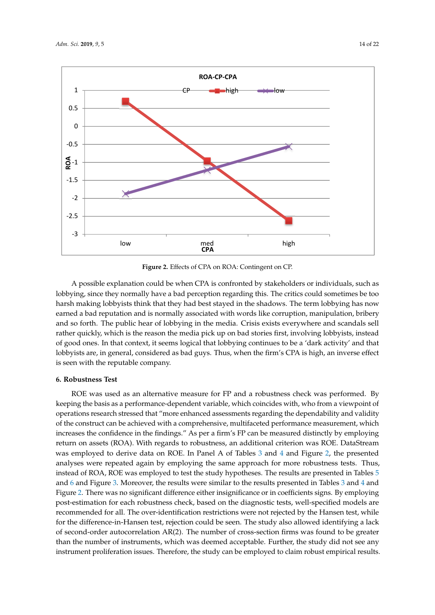<span id="page-13-1"></span>

**Figure 2.** Effects of CPA on ROA: Contingent on CP. **Figure 2.** Effects of CPA on ROA: Contingent on CP.

A possible explanation could be when CPA is confronted by stakeholders or individuals, such A possible explanation could be when CPA is confronted by stakeholders or individuals, such as lobbying, since they normally have a bad perception regarding this. The critics could sometimes be too harsh making lobbyists think that they had best stayed in the shadows. The term lobbying has now earned a bad reputation and is normally associated with words like corruption, manipulation, bribery and so forth. The public hear of lobbying in the media. Crisis exists everywhere and scandals sell rather quickly, which is the reason the media pick up on bad stories first, involving lobbyists, instead of good ones. In that context, it seems logical that lobbying continues to be a 'dark activity' and that lobbyists are, in general, considered as bad guys. Thus, when the firm's CPA is high, an inverse effect is seen with the reputable company.

## <span id="page-13-0"></span>**6. Robustness Test 6. Robustness Test**

ROE was used as an alternative measure for FP and a robustness check was performed. By ROE was used as an alternative measure for FP and a robustness check was performed. By keeping the basis as a performance-dependent variable, which coincides with, who from a viewpoint keeping the basis as a performance-dependent variable, which coincides with, who from a viewpoint of operations research stressed that "more enhanced assessments regarding the dependability and validity of the construct can be achieved with a comprehensive, multifaceted performance measurement, which increases the confidence in the findings." As per a firm's FP can be measured distinctly by employing return on assets (ROA). With regards to robustness, an additional criterion was ROE. DataStream was employed to derive data on ROE. [In](#page-10-0) Pan[el](#page-12-0) A of Tables 3 and 4 and Figure 2, the presented analyses were repeated again by employing the same approach for more robustness tests. Thus, instead of ROA, ROE was employed to test the study hypotheses. The results a[re](#page-14-0) presented in Tables  $5$ and 6 and Figure 3. Moreover, the results were similar to the results pre[sen](#page-15-1)ted in Tab[les](#page-14-1) 3 and 4 and Figure 2. There was no significant difference either insignificance or in coefficients signs. By employing post-estimation for each robustness check, based on the diagnostic tests, well-specified models are recommended for all. The over-identification restrictions were not rejected by the Hansen test, while for the difference-in-Hansen test, rejection could be seen. The study also allowed identifying a lack of second-order autocorrelation AR(2). The number of cross-section firms was found to be greater than the number of instruments, which was deemed acceptable. Further, the study did not see any instrument proliferation issues. Therefore, the study can be employed to claim robust empirical results.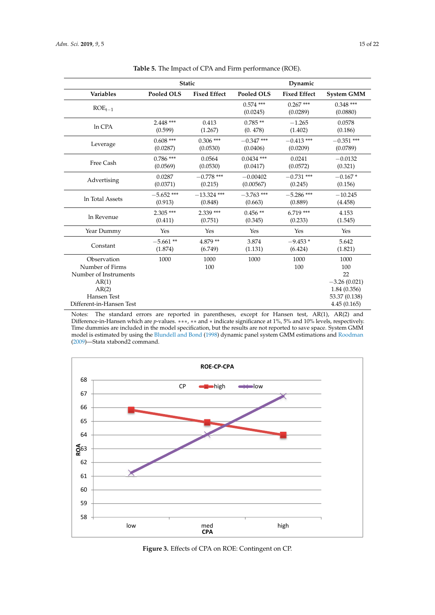<span id="page-14-0"></span>

|                                                                                                                      | <b>Static</b> |                     |                         | Dynamic                 |                                                                                    |
|----------------------------------------------------------------------------------------------------------------------|---------------|---------------------|-------------------------|-------------------------|------------------------------------------------------------------------------------|
| Variables                                                                                                            | Pooled OLS    | <b>Fixed Effect</b> | Pooled OLS              | <b>Fixed Effect</b>     | <b>System GMM</b>                                                                  |
| $ROE_{t-1}$                                                                                                          |               |                     | $0.574$ ***<br>(0.0245) | $0.267$ ***<br>(0.0289) | $0.348***$<br>(0.0880)                                                             |
| ln CPA                                                                                                               | $2.448$ ***   | 0.413               | $0.785**$               | $-1.265$                | 0.0578                                                                             |
|                                                                                                                      | (0.599)       | (1.267)             | (0.478)                 | (1.402)                 | (0.186)                                                                            |
| Leverage                                                                                                             | $0.608***$    | $0.306$ ***         | $-0.347$ ***            | $-0.413$ ***            | $-0.351$ ***                                                                       |
|                                                                                                                      | (0.0287)      | (0.0530)            | (0.0406)                | (0.0209)                | (0.0789)                                                                           |
| Free Cash                                                                                                            | $0.786$ ***   | 0.0564              | $0.0434$ ***            | 0.0241                  | $-0.0132$                                                                          |
|                                                                                                                      | (0.0569)      | (0.0530)            | (0.0417)                | (0.0572)                | (0.321)                                                                            |
| Advertising                                                                                                          | 0.0287        | $-0.778$ ***        | $-0.00402$              | $-0.731$ ***            | $-0.167*$                                                                          |
|                                                                                                                      | (0.0371)      | (0.215)             | (0.00567)               | (0.245)                 | (0.156)                                                                            |
| In Total Assets                                                                                                      | $-5.652$ ***  | $-13.324$ ***       | $-3.763$ ***            | $-5.286$ ***            | $-10.245$                                                                          |
|                                                                                                                      | (0.913)       | (0.848)             | (0.663)                 | (0.889)                 | (4.458)                                                                            |
| In Revenue                                                                                                           | $2.305***$    | 2.339 ***           | $0.456**$               | 6.719***                | 4.153                                                                              |
|                                                                                                                      | (0.411)       | (0.751)             | (0.345)                 | (0.233)                 | (1.545)                                                                            |
| Year Dummy                                                                                                           | Yes           | Yes                 | Yes                     | Yes                     | Yes                                                                                |
| Constant                                                                                                             | $-5.661**$    | 4.879**             | 3.874                   | $-9.453*$               | 5.642                                                                              |
|                                                                                                                      | (1.874)       | (6.749)             | (1.131)                 | (6.424)                 | (1.821)                                                                            |
| Observation<br>Number of Firms<br>Number of Instruments<br>AR(1)<br>AR(2)<br>Hansen Test<br>Different-in-Hansen Test | 1000          | 1000<br>100         | 1000                    | 1000<br>100             | 1000<br>100<br>22<br>$-3.26(0.021)$<br>1.84(0.356)<br>53.37 (0.138)<br>4.45(0.165) |

**Table 5.** The Impact of CPA and Firm performance (ROE).

Notes: The standard errors are reported in parentheses, except for Hansen test, AR(1), AR(2) and Difference-in-Hansen which are *p*-values. ∗∗∗, ∗∗ and ∗ indicate significance at 1%, 5% and 10% levels, respectively. Time dummies are included in the model specification, but the results are not reported to save space. System GMM model is estimated by using the [Blundell and Bond](#page-17-4) [\(1998\)](#page-17-4) dynamic panel system GMM estimations and [Roodman](#page-20-23) [\(2009\)](#page-20-23)—Stata xtabond2 command.

<span id="page-14-1"></span>

**Figure 3.** Effects of CPA on ROE: Contingent on CP. **Figure 3.** Effects of CPA on ROE: Contingent on CP.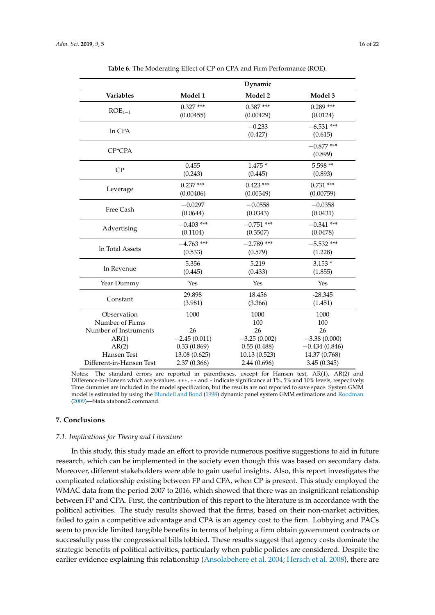<span id="page-15-1"></span>

|                          |                | Dynamic        |                 |
|--------------------------|----------------|----------------|-----------------|
| Variables                | Model 1        | Model 2        | Model 3         |
|                          | $0.327***$     | $0.387***$     | $0.289***$      |
| $ROE_{t-1}$              | (0.00455)      | (0.00429)      | (0.0124)        |
|                          |                | $-0.233$       | $-6.531$ ***    |
| ln CPA                   |                | (0.427)        | (0.615)         |
| CP*CPA                   |                |                | $-0.877$ ***    |
|                          |                |                | (0.899)         |
| CP                       | 0.455          | $1.475*$       | 5.598 **        |
|                          | (0.243)        | (0.445)        | (0.893)         |
|                          | $0.237***$     | $0.423$ ***    | $0.731$ ***     |
| Leverage                 | (0.00406)      | (0.00349)      | (0.00759)       |
|                          | $-0.0297$      | $-0.0558$      | $-0.0358$       |
| Free Cash                | (0.0644)       | (0.0343)       | (0.0431)        |
|                          | $-0.403$ ***   | $-0.751$ ***   | $-0.341$ ***    |
| Advertising              | (0.1104)       | (0.3507)       | (0.0478)        |
|                          | $-4.763$ ***   | $-2.789$ ***   | $-5.532$ ***    |
| In Total Assets          | (0.533)        | (0.579)        | (1.228)         |
|                          | 5.356          | 5.219          | $3.153*$        |
| In Revenue               | (0.445)        | (0.433)        | (1.855)         |
| Year Dummy               | Yes            | Yes            | Yes             |
|                          | 29.898         | 18.456         | $-28.345$       |
| Constant                 | (3.981)        | (3.366)        | (1.451)         |
| Observation              | 1000           | 1000           | 1000            |
| Number of Firms          |                | 100            | 100             |
| Number of Instruments    | 26             | 26             | 26              |
| AR(1)                    | $-2.45(0.011)$ | $-3.25(0.002)$ | $-3.38(0.000)$  |
| AR(2)                    | 0.33(0.869)    | 0.55(0.488)    | $-0.434(0.846)$ |
| Hansen Test              | 13.08 (0.625)  | 10.13 (0.523)  | 14.37 (0.768)   |
| Different-in-Hansen Test | 2.37(0.366)    | 2.44 (0.696)   | 3.45(0.345)     |

**Table 6.** The Moderating Effect of CP on CPA and Firm Performance (ROE).

Notes: The standard errors are reported in parentheses, except for Hansen test, AR(1), AR(2) and Difference-in-Hansen which are *p*-values. ∗∗∗, ∗∗ and ∗ indicate significance at 1%, 5% and 10% levels, respectively. Time dummies are included in the model specification, but the results are not reported to save space. System GMM model is estimated by using the [Blundell and Bond](#page-17-4) [\(1998\)](#page-17-4) dynamic panel system GMM estimations and [Roodman](#page-20-23) [\(2009\)](#page-20-23)—Stata xtabond2 command.

#### <span id="page-15-0"></span>**7. Conclusions**

## *7.1. Implications for Theory and Literature*

In this study, this study made an effort to provide numerous positive suggestions to aid in future research, which can be implemented in the society even though this was based on secondary data. Moreover, different stakeholders were able to gain useful insights. Also, this report investigates the complicated relationship existing between FP and CPA, when CP is present. This study employed the WMAC data from the period 2007 to 2016, which showed that there was an insignificant relationship between FP and CPA. First, the contribution of this report to the literature is in accordance with the political activities. The study results showed that the firms, based on their non-market activities, failed to gain a competitive advantage and CPA is an agency cost to the firm. Lobbying and PACs seem to provide limited tangible benefits in terms of helping a firm obtain government contracts or successfully pass the congressional bills lobbied. These results suggest that agency costs dominate the strategic benefits of political activities, particularly when public policies are considered. Despite the earlier evidence explaining this relationship [\(Ansolabehere et al.](#page-17-12) [2004;](#page-17-12) [Hersch et al.](#page-19-13) [2008\)](#page-19-13), there are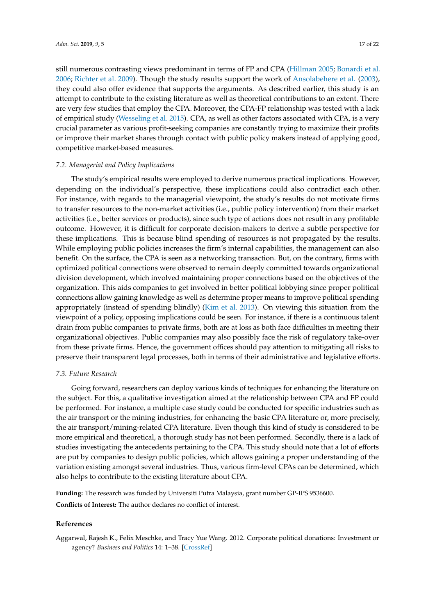still numerous contrasting views predominant in terms of FP and CPA [\(Hillman](#page-19-22) [2005;](#page-19-22) [Bonardi et al.](#page-17-24) [2006;](#page-17-24) [Richter et al.](#page-20-10) [2009\)](#page-20-10). Though the study results support the work of [Ansolabehere et al.](#page-17-25) [\(2003\)](#page-17-25), they could also offer evidence that supports the arguments. As described earlier, this study is an attempt to contribute to the existing literature as well as theoretical contributions to an extent. There are very few studies that employ the CPA. Moreover, the CPA-FP relationship was tested with a lack of empirical study [\(Wesseling et al.](#page-21-7) [2015\)](#page-21-7). CPA, as well as other factors associated with CPA, is a very crucial parameter as various profit-seeking companies are constantly trying to maximize their profits or improve their market shares through contact with public policy makers instead of applying good, competitive market-based measures.

#### *7.2. Managerial and Policy Implications*

The study's empirical results were employed to derive numerous practical implications. However, depending on the individual's perspective, these implications could also contradict each other. For instance, with regards to the managerial viewpoint, the study's results do not motivate firms to transfer resources to the non-market activities (i.e., public policy intervention) from their market activities (i.e., better services or products), since such type of actions does not result in any profitable outcome. However, it is difficult for corporate decision-makers to derive a subtle perspective for these implications. This is because blind spending of resources is not propagated by the results. While employing public policies increases the firm's internal capabilities, the management can also benefit. On the surface, the CPA is seen as a networking transaction. But, on the contrary, firms with optimized political connections were observed to remain deeply committed towards organizational division development, which involved maintaining proper connections based on the objectives of the organization. This aids companies to get involved in better political lobbying since proper political connections allow gaining knowledge as well as determine proper means to improve political spending appropriately (instead of spending blindly) [\(Kim et al.](#page-19-23) [2013\)](#page-19-23). On viewing this situation from the viewpoint of a policy, opposing implications could be seen. For instance, if there is a continuous talent drain from public companies to private firms, both are at loss as both face difficulties in meeting their organizational objectives. Public companies may also possibly face the risk of regulatory take-over from these private firms. Hence, the government offices should pay attention to mitigating all risks to preserve their transparent legal processes, both in terms of their administrative and legislative efforts.

## *7.3. Future Research*

Going forward, researchers can deploy various kinds of techniques for enhancing the literature on the subject. For this, a qualitative investigation aimed at the relationship between CPA and FP could be performed. For instance, a multiple case study could be conducted for specific industries such as the air transport or the mining industries, for enhancing the basic CPA literature or, more precisely, the air transport/mining-related CPA literature. Even though this kind of study is considered to be more empirical and theoretical, a thorough study has not been performed. Secondly, there is a lack of studies investigating the antecedents pertaining to the CPA. This study should note that a lot of efforts are put by companies to design public policies, which allows gaining a proper understanding of the variation existing amongst several industries. Thus, various firm-level CPAs can be determined, which also helps to contribute to the existing literature about CPA.

**Funding:** The research was funded by Universiti Putra Malaysia, grant number GP-IPS 9536600. **Conflicts of Interest:** The author declares no conflict of interest.

#### **References**

<span id="page-16-0"></span>Aggarwal, Rajesh K., Felix Meschke, and Tracy Yue Wang. 2012. Corporate political donations: Investment or agency? *Business and Politics* 14: 1–38. [\[CrossRef\]](http://dx.doi.org/10.1515/1469-3569.1391)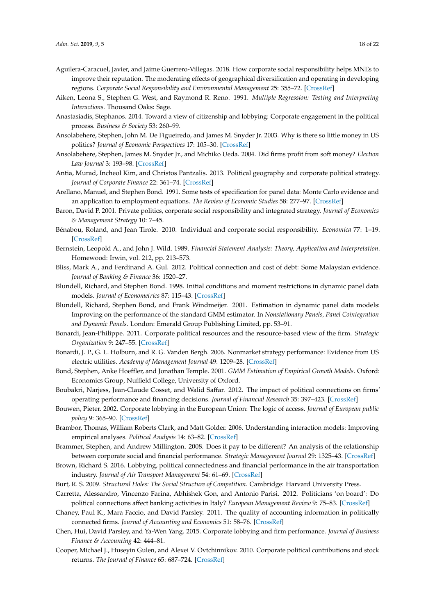- <span id="page-17-16"></span>Aguilera-Caracuel, Javier, and Jaime Guerrero-Villegas. 2018. How corporate social responsibility helps MNEs to improve their reputation. The moderating effects of geographical diversification and operating in developing regions. *Corporate Social Responsibility and Environmental Management* 25: 355–72. [\[CrossRef\]](http://dx.doi.org/10.1002/csr.1465)
- <span id="page-17-23"></span>Aiken, Leona S., Stephen G. West, and Raymond R. Reno. 1991. *Multiple Regression: Testing and Interpreting Interactions*. Thousand Oaks: Sage.
- <span id="page-17-1"></span>Anastasiadis, Stephanos. 2014. Toward a view of citizenship and lobbying: Corporate engagement in the political process. *Business & Society* 53: 260–99.
- <span id="page-17-25"></span>Ansolabehere, Stephen, John M. De Figueiredo, and James M. Snyder Jr. 2003. Why is there so little money in US politics? *Journal of Economic Perspectives* 17: 105–30. [\[CrossRef\]](http://dx.doi.org/10.1257/089533003321164976)
- <span id="page-17-12"></span>Ansolabehere, Stephen, James M. Snyder Jr., and Michiko Ueda. 2004. Did firms profit from soft money? *Election Law Journal* 3: 193–98. [\[CrossRef\]](http://dx.doi.org/10.1089/153312904322907702)
- <span id="page-17-6"></span>Antia, Murad, Incheol Kim, and Christos Pantzalis. 2013. Political geography and corporate political strategy. *Journal of Corporate Finance* 22: 361–74. [\[CrossRef\]](http://dx.doi.org/10.1016/j.jcorpfin.2013.07.002)
- <span id="page-17-3"></span>Arellano, Manuel, and Stephen Bond. 1991. Some tests of specification for panel data: Monte Carlo evidence and an application to employment equations. *The Review of Economic Studies* 58: 277–97. [\[CrossRef\]](http://dx.doi.org/10.2307/2297968)
- <span id="page-17-0"></span>Baron, David P. 2001. Private politics, corporate social responsibility and integrated strategy. *Journal of Economics & Management Strategy* 10: 7–45.
- <span id="page-17-2"></span>Bénabou, Roland, and Jean Tirole. 2010. Individual and corporate social responsibility. *Economica* 77: 1–19. [\[CrossRef\]](http://dx.doi.org/10.1111/j.1468-0335.2009.00843.x)
- <span id="page-17-18"></span>Bernstein, Leopold A., and John J. Wild. 1989. *Financial Statement Analysis: Theory, Application and Interpretation*. Homewood: Irwin, vol. 212, pp. 213–573.
- <span id="page-17-10"></span>Bliss, Mark A., and Ferdinand A. Gul. 2012. Political connection and cost of debt: Some Malaysian evidence. *Journal of Banking & Finance* 36: 1520–27.
- <span id="page-17-4"></span>Blundell, Richard, and Stephen Bond. 1998. Initial conditions and moment restrictions in dynamic panel data models. *Journal of Econometrics* 87: 115–43. [\[CrossRef\]](http://dx.doi.org/10.1016/S0304-4076(98)00009-8)
- <span id="page-17-21"></span>Blundell, Richard, Stephen Bond, and Frank Windmeijer. 2001. Estimation in dynamic panel data models: Improving on the performance of the standard GMM estimator. In *Nonstationary Panels, Panel Cointegration and Dynamic Panels*. London: Emerald Group Publishing Limited, pp. 53–91.
- <span id="page-17-13"></span>Bonardi, Jean-Philippe. 2011. Corporate political resources and the resource-based view of the firm. *Strategic Organization* 9: 247–55. [\[CrossRef\]](http://dx.doi.org/10.1177/1476127011417926)
- <span id="page-17-24"></span>Bonardi, J. P., G. L. Holburn, and R. G. Vanden Bergh. 2006. Nonmarket strategy performance: Evidence from US electric utilities. *Academy of Management Journal* 49: 1209–28. [\[CrossRef\]](http://dx.doi.org/10.5465/amj.2006.23478676)
- <span id="page-17-22"></span>Bond, Stephen, Anke Hoeffler, and Jonathan Temple. 2001. *GMM Estimation of Empirical Growth Models*. Oxford: Economics Group, Nuffield College, University of Oxford.
- <span id="page-17-7"></span>Boubakri, Narjess, Jean-Claude Cosset, and Walid Saffar. 2012. The impact of political connections on firms' operating performance and financing decisions. *Journal of Financial Research* 35: 397–423. [\[CrossRef\]](http://dx.doi.org/10.1111/j.1475-6803.2012.01322.x)
- <span id="page-17-14"></span>Bouwen, Pieter. 2002. Corporate lobbying in the European Union: The logic of access. *Journal of European public policy* 9: 365–90. [\[CrossRef\]](http://dx.doi.org/10.1080/13501760210138796)
- <span id="page-17-20"></span>Brambor, Thomas, William Roberts Clark, and Matt Golder. 2006. Understanding interaction models: Improving empirical analyses. *Political Analysis* 14: 63–82. [\[CrossRef\]](http://dx.doi.org/10.1093/pan/mpi014)
- <span id="page-17-17"></span>Brammer, Stephen, and Andrew Millington. 2008. Does it pay to be different? An analysis of the relationship between corporate social and financial performance. *Strategic Management Journal* 29: 1325–43. [\[CrossRef\]](http://dx.doi.org/10.1002/smj.714)
- <span id="page-17-19"></span>Brown, Richard S. 2016. Lobbying, political connectedness and financial performance in the air transportation industry. *Journal of Air Transport Management* 54: 61–69. [\[CrossRef\]](http://dx.doi.org/10.1016/j.jairtraman.2016.03.009)
- <span id="page-17-15"></span>Burt, R. S. 2009. *Structural Holes: The Social Structure of Competition*. Cambridge: Harvard University Press.
- <span id="page-17-11"></span>Carretta, Alessandro, Vincenzo Farina, Abhishek Gon, and Antonio Parisi. 2012. Politicians 'on board': Do political connections affect banking activities in Italy? *European Management Review* 9: 75–83. [\[CrossRef\]](http://dx.doi.org/10.1111/j.1740-4762.2012.01032.x)
- <span id="page-17-9"></span>Chaney, Paul K., Mara Faccio, and David Parsley. 2011. The quality of accounting information in politically connected firms. *Journal of Accounting and Economics* 51: 58–76. [\[CrossRef\]](http://dx.doi.org/10.1016/j.jacceco.2010.07.003)
- <span id="page-17-5"></span>Chen, Hui, David Parsley, and Ya-Wen Yang. 2015. Corporate lobbying and firm performance. *Journal of Business Finance & Accounting* 42: 444–81.
- <span id="page-17-8"></span>Cooper, Michael J., Huseyin Gulen, and Alexei V. Ovtchinnikov. 2010. Corporate political contributions and stock returns. *The Journal of Finance* 65: 687–724. [\[CrossRef\]](http://dx.doi.org/10.1111/j.1540-6261.2009.01548.x)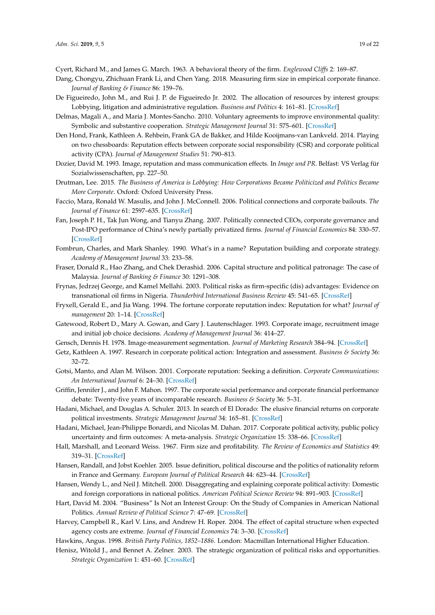<span id="page-18-24"></span><span id="page-18-17"></span>Cyert, Richard M., and James G. March. 1963. A behavioral theory of the firm. *Englewood Cliffs* 2: 169–87.

- Dang, Chongyu, Zhichuan Frank Li, and Chen Yang. 2018. Measuring firm size in empirical corporate finance. *Journal of Banking & Finance* 86: 159–76.
- <span id="page-18-5"></span>De Figueiredo, John M., and Rui J. P. de Figueiredo Jr. 2002. The allocation of resources by interest groups: Lobbying, litigation and administrative regulation. *Business and Politics* 4: 161–81. [\[CrossRef\]](http://dx.doi.org/10.2202/1469-3569.1036)
- <span id="page-18-2"></span>Delmas, Magali A., and Maria J. Montes-Sancho. 2010. Voluntary agreements to improve environmental quality: Symbolic and substantive cooperation. *Strategic Management Journal* 31: 575–601. [\[CrossRef\]](http://dx.doi.org/10.1002/smj.826)
- <span id="page-18-19"></span>Den Hond, Frank, Kathleen A. Rehbein, Frank GA de Bakker, and Hilde Kooijmans-van Lankveld. 2014. Playing on two chessboards: Reputation effects between corporate social responsibility (CSR) and corporate political activity (CPA). *Journal of Management Studies* 51: 790–813.
- <span id="page-18-13"></span>Dozier, David M. 1993. Image, reputation and mass communication effects. In *Image und PR*. Belfast: VS Verlag für Sozialwissenschaften, pp. 227–50.
- <span id="page-18-0"></span>Drutman, Lee. 2015. *The Business of America is Lobbying: How Corporations Became Politicized and Politics Became More Corporate*. Oxford: Oxford University Press.
- <span id="page-18-11"></span>Faccio, Mara, Ronald W. Masulis, and John J. McConnell. 2006. Political connections and corporate bailouts. *The Journal of Finance* 61: 2597–635. [\[CrossRef\]](http://dx.doi.org/10.1111/j.1540-6261.2006.01000.x)
- <span id="page-18-9"></span>Fan, Joseph P. H., Tak Jun Wong, and Tianyu Zhang. 2007. Politically connected CEOs, corporate governance and Post-IPO performance of China's newly partially privatized firms. *Journal of Financial Economics* 84: 330–57. [\[CrossRef\]](http://dx.doi.org/10.1016/j.jfineco.2006.03.008)
- <span id="page-18-21"></span>Fombrun, Charles, and Mark Shanley. 1990. What's in a name? Reputation building and corporate strategy. *Academy of Management Journal* 33: 233–58.
- <span id="page-18-8"></span>Fraser, Donald R., Hao Zhang, and Chek Derashid. 2006. Capital structure and political patronage: The case of Malaysia. *Journal of Banking & Finance* 30: 1291–308.
- <span id="page-18-6"></span>Frynas, Jedrzej George, and Kamel Mellahi. 2003. Political risks as firm-specific (dis) advantages: Evidence on transnational oil firms in Nigeria. *Thunderbird International Business Review* 45: 541–65. [\[CrossRef\]](http://dx.doi.org/10.1002/tie.10090)
- <span id="page-18-15"></span>Fryxell, Gerald E., and Jia Wang. 1994. The fortune corporate reputation index: Reputation for what? *Journal of management* 20: 1–14. [\[CrossRef\]](http://dx.doi.org/10.1177/014920639402000101)
- <span id="page-18-20"></span>Gatewood, Robert D., Mary A. Gowan, and Gary J. Lautenschlager. 1993. Corporate image, recruitment image and initial job choice decisions. *Academy of Management Journal* 36: 414–27.
- <span id="page-18-14"></span><span id="page-18-4"></span>Gensch, Dennis H. 1978. Image-measurement segmentation. *Journal of Marketing Research* 384–94. [\[CrossRef\]](http://dx.doi.org/10.1177/002224377801500309)
- Getz, Kathleen A. 1997. Research in corporate political action: Integration and assessment. *Business & Society* 36: 32–72.
- <span id="page-18-12"></span>Gotsi, Manto, and Alan M. Wilson. 2001. Corporate reputation: Seeking a definition. *Corporate Communications: An International Journal* 6: 24–30. [\[CrossRef\]](http://dx.doi.org/10.1108/13563280110381189)
- <span id="page-18-22"></span>Griffin, Jennifer J., and John F. Mahon. 1997. The corporate social performance and corporate financial performance debate: Twenty-five years of incomparable research. *Business & Society* 36: 5–31.
- <span id="page-18-10"></span>Hadani, Michael, and Douglas A. Schuler. 2013. In search of El Dorado: The elusive financial returns on corporate political investments. *Strategic Management Journal* 34: 165–81. [\[CrossRef\]](http://dx.doi.org/10.1002/smj.2006)
- <span id="page-18-16"></span>Hadani, Michael, Jean-Philippe Bonardi, and Nicolas M. Dahan. 2017. Corporate political activity, public policy uncertainty and firm outcomes: A meta-analysis. *Strategic Organization* 15: 338–66. [\[CrossRef\]](http://dx.doi.org/10.1177/1476127016651001)
- <span id="page-18-25"></span>Hall, Marshall, and Leonard Weiss. 1967. Firm size and profitability. *The Review of Economics and Statistics* 49: 319–31. [\[CrossRef\]](http://dx.doi.org/10.2307/1926642)
- <span id="page-18-3"></span>Hansen, Randall, and Jobst Koehler. 2005. Issue definition, political discourse and the politics of nationality reform in France and Germany. *European Journal of Political Research* 44: 623–44. [\[CrossRef\]](http://dx.doi.org/10.1111/j.1475-6765.2005.00241.x)
- <span id="page-18-1"></span>Hansen, Wendy L., and Neil J. Mitchell. 2000. Disaggregating and explaining corporate political activity: Domestic and foreign corporations in national politics. *American Political Science Review* 94: 891–903. [\[CrossRef\]](http://dx.doi.org/10.2307/2586214)
- <span id="page-18-18"></span>Hart, David M. 2004. "Business" Is Not an Interest Group: On the Study of Companies in American National Politics. *Annual Review of Political Science* 7: 47–69. [\[CrossRef\]](http://dx.doi.org/10.1146/annurev.polisci.7.090803.161829)
- <span id="page-18-26"></span>Harvey, Campbell R., Karl V. Lins, and Andrew H. Roper. 2004. The effect of capital structure when expected agency costs are extreme. *Journal of Financial Economics* 74: 3–30. [\[CrossRef\]](http://dx.doi.org/10.1016/j.jfineco.2003.07.003)
- <span id="page-18-23"></span>Hawkins, Angus. 1998. *British Party Politics, 1852–1886*. London: Macmillan International Higher Education.
- <span id="page-18-7"></span>Henisz, Witold J., and Bennet A. Zelner. 2003. The strategic organization of political risks and opportunities. *Strategic Organization* 1: 451–60. [\[CrossRef\]](http://dx.doi.org/10.1177/14761270030014005)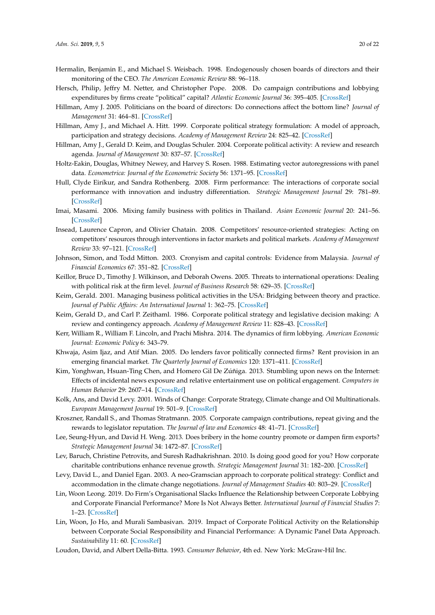- <span id="page-19-3"></span>Hermalin, Benjamin E., and Michael S. Weisbach. 1998. Endogenously chosen boards of directors and their monitoring of the CEO. *The American Economic Review* 88: 96–118.
- <span id="page-19-13"></span>Hersch, Philip, Jeffry M. Netter, and Christopher Pope. 2008. Do campaign contributions and lobbying expenditures by firms create "political" capital? *Atlantic Economic Journal* 36: 395–405. [\[CrossRef\]](http://dx.doi.org/10.1007/s11293-008-9125-y)
- <span id="page-19-22"></span>Hillman, Amy J. 2005. Politicians on the board of directors: Do connections affect the bottom line? *Journal of Management* 31: 464–81. [\[CrossRef\]](http://dx.doi.org/10.1177/0149206304272187)
- <span id="page-19-4"></span>Hillman, Amy J., and Michael A. Hitt. 1999. Corporate political strategy formulation: A model of approach, participation and strategy decisions. *Academy of Management Review* 24: 825–42. [\[CrossRef\]](http://dx.doi.org/10.5465/amr.1999.2553256)
- <span id="page-19-0"></span>Hillman, Amy J., Gerald D. Keim, and Douglas Schuler. 2004. Corporate political activity: A review and research agenda. *Journal of Management* 30: 837–57. [\[CrossRef\]](http://dx.doi.org/10.1016/j.jm.2004.06.003)
- <span id="page-19-19"></span>Holtz-Eakin, Douglas, Whitney Newey, and Harvey S. Rosen. 1988. Estimating vector autoregressions with panel data. *Econometrica: Journal of the Econometric Society* 56: 1371–95. [\[CrossRef\]](http://dx.doi.org/10.2307/1913103)
- <span id="page-19-17"></span>Hull, Clyde Eiríkur, and Sandra Rothenberg. 2008. Firm performance: The interactions of corporate social performance with innovation and industry differentiation. *Strategic Management Journal* 29: 781–89. [\[CrossRef\]](http://dx.doi.org/10.1002/smj.675)
- <span id="page-19-11"></span>Imai, Masami. 2006. Mixing family business with politics in Thailand. *Asian Economic Journal* 20: 241–56. [\[CrossRef\]](http://dx.doi.org/10.1111/j.1467-8381.2006.00234.x)
- <span id="page-19-7"></span>Insead, Laurence Capron, and Olivier Chatain. 2008. Competitors' resource-oriented strategies: Acting on competitors' resources through interventions in factor markets and political markets. *Academy of Management Review* 33: 97–121. [\[CrossRef\]](http://dx.doi.org/10.5465/amr.2008.27745499)
- <span id="page-19-10"></span>Johnson, Simon, and Todd Mitton. 2003. Cronyism and capital controls: Evidence from Malaysia. *Journal of Financial Economics* 67: 351–82. [\[CrossRef\]](http://dx.doi.org/10.1016/S0304-405X(02)00255-6)
- <span id="page-19-8"></span>Keillor, Bruce D., Timothy J. Wilkinson, and Deborah Owens. 2005. Threats to international operations: Dealing with political risk at the firm level. *Journal of Business Research* 58: 629–35. [\[CrossRef\]](http://dx.doi.org/10.1016/j.jbusres.2003.08.006)
- <span id="page-19-6"></span>Keim, Gerald. 2001. Managing business political activities in the USA: Bridging between theory and practice. *Journal of Public Affairs: An International Journal* 1: 362–75. [\[CrossRef\]](http://dx.doi.org/10.1002/pa.81)
- <span id="page-19-5"></span>Keim, Gerald D., and Carl P. Zeithaml. 1986. Corporate political strategy and legislative decision making: A review and contingency approach. *Academy of Management Review* 11: 828–43. [\[CrossRef\]](http://dx.doi.org/10.5465/amr.1986.4284029)
- <span id="page-19-1"></span>Kerr, William R., William F. Lincoln, and Prachi Mishra. 2014. The dynamics of firm lobbying. *American Economic Journal: Economic Policy* 6: 343–79.
- <span id="page-19-9"></span>Khwaja, Asim Ijaz, and Atif Mian. 2005. Do lenders favor politically connected firms? Rent provision in an emerging financial market. *The Quarterly Journal of Economics* 120: 1371–411. [\[CrossRef\]](http://dx.doi.org/10.1162/003355305775097524)
- <span id="page-19-23"></span>Kim, Yonghwan, Hsuan-Ting Chen, and Homero Gil De Zúñiga. 2013. Stumbling upon news on the Internet: Effects of incidental news exposure and relative entertainment use on political engagement. *Computers in Human Behavior* 29: 2607–14. [\[CrossRef\]](http://dx.doi.org/10.1016/j.chb.2013.06.005)
- <span id="page-19-21"></span>Kolk, Ans, and David Levy. 2001. Winds of Change: Corporate Strategy, Climate change and Oil Multinationals. *European Management Journal* 19: 501–9. [\[CrossRef\]](http://dx.doi.org/10.1016/S0263-2373(01)00064-0)
- <span id="page-19-15"></span>Kroszner, Randall S., and Thomas Stratmann. 2005. Corporate campaign contributions, repeat giving and the rewards to legislator reputation. *The Journal of law and Economics* 48: 41–71. [\[CrossRef\]](http://dx.doi.org/10.1086/429114)
- <span id="page-19-12"></span>Lee, Seung-Hyun, and David H. Weng. 2013. Does bribery in the home country promote or dampen firm exports? *Strategic Management Journal* 34: 1472–87. [\[CrossRef\]](http://dx.doi.org/10.1002/smj.2075)
- <span id="page-19-18"></span>Lev, Baruch, Christine Petrovits, and Suresh Radhakrishnan. 2010. Is doing good good for you? How corporate charitable contributions enhance revenue growth. *Strategic Management Journal* 31: 182–200. [\[CrossRef\]](http://dx.doi.org/10.1002/smj.810)
- <span id="page-19-20"></span>Levy, David L., and Daniel Egan. 2003. A neo-Gramscian approach to corporate political strategy: Conflict and accommodation in the climate change negotiations. *Journal of Management Studies* 40: 803–29. [\[CrossRef\]](http://dx.doi.org/10.1111/1467-6486.00361)
- <span id="page-19-2"></span>Lin, Woon Leong. 2019. Do Firm's Organisational Slacks Influence the Relationship between Corporate Lobbying and Corporate Financial Performance? More Is Not Always Better. *International Journal of Financial Studies* 7: 1–23. [\[CrossRef\]](http://dx.doi.org/10.3390/ijfs7010002)
- <span id="page-19-16"></span>Lin, Woon, Jo Ho, and Murali Sambasivan. 2019. Impact of Corporate Political Activity on the Relationship between Corporate Social Responsibility and Financial Performance: A Dynamic Panel Data Approach. *Sustainability* 11: 60. [\[CrossRef\]](http://dx.doi.org/10.3390/su11010060)
- <span id="page-19-14"></span>Loudon, David, and Albert Della-Bitta. 1993. *Consumer Behavior*, 4th ed. New York: McGraw-Hil Inc.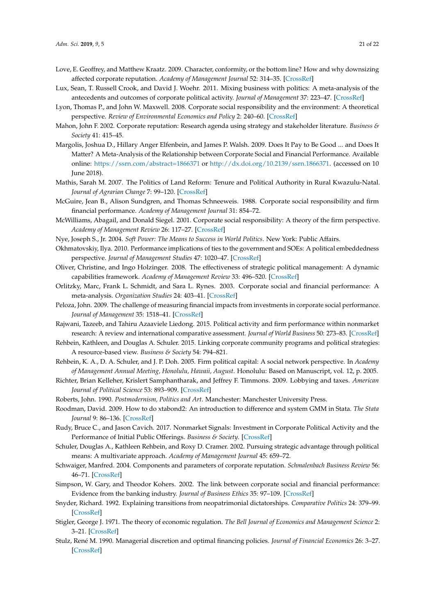- <span id="page-20-25"></span>Love, E. Geoffrey, and Matthew Kraatz. 2009. Character, conformity, or the bottom line? How and why downsizing affected corporate reputation. *Academy of Management Journal* 52: 314–35. [\[CrossRef\]](http://dx.doi.org/10.5465/amj.2009.37308247)
- <span id="page-20-8"></span>Lux, Sean, T. Russell Crook, and David J. Woehr. 2011. Mixing business with politics: A meta-analysis of the antecedents and outcomes of corporate political activity. *Journal of Management* 37: 223–47. [\[CrossRef\]](http://dx.doi.org/10.1177/0149206310392233)
- <span id="page-20-16"></span>Lyon, Thomas P., and John W. Maxwell. 2008. Corporate social responsibility and the environment: A theoretical perspective. *Review of Environmental Economics and Policy* 2: 240–60. [\[CrossRef\]](http://dx.doi.org/10.1093/reep/ren004)
- <span id="page-20-13"></span>Mahon, John F. 2002. Corporate reputation: Research agenda using strategy and stakeholder literature. *Business & Society* 41: 415–45.
- <span id="page-20-3"></span>Margolis, Joshua D., Hillary Anger Elfenbein, and James P. Walsh. 2009. Does It Pay to Be Good ... and Does It Matter? A Meta-Analysis of the Relationship between Corporate Social and Financial Performance. Available online: <https://ssrn.com/abstract=1866371> or [http://dx.doi.org/10.2139/ssrn.1866371.](http://dx.doi.org/10.2139/ssrn.1866371) (accessed on 10 June 2018).
- <span id="page-20-17"></span>Mathis, Sarah M. 2007. The Politics of Land Reform: Tenure and Political Authority in Rural Kwazulu-Natal. *Journal of Agrarian Change* 7: 99–120. [\[CrossRef\]](http://dx.doi.org/10.1111/j.1471-0366.2007.00141.x)
- <span id="page-20-19"></span>McGuire, Jean B., Alison Sundgren, and Thomas Schneeweis. 1988. Corporate social responsibility and firm financial performance. *Academy of Management Journal* 31: 854–72.
- <span id="page-20-2"></span>McWilliams, Abagail, and Donald Siegel. 2001. Corporate social responsibility: A theory of the firm perspective. *Academy of Management Review* 26: 117–27. [\[CrossRef\]](http://dx.doi.org/10.5465/amr.2001.4011987)
- <span id="page-20-11"></span><span id="page-20-0"></span>Nye, Joseph S., Jr. 2004. *Soft Power: The Means to Success in World Politics*. New York: Public Affairs.
- Okhmatovskiy, Ilya. 2010. Performance implications of ties to the government and SOEs: A political embeddedness perspective. *Journal of Management Studies* 47: 1020–47. [\[CrossRef\]](http://dx.doi.org/10.1111/j.1467-6486.2009.00881.x)
- <span id="page-20-6"></span>Oliver, Christine, and Ingo Holzinger. 2008. The effectiveness of strategic political management: A dynamic capabilities framework. *Academy of Management Review* 33: 496–520. [\[CrossRef\]](http://dx.doi.org/10.5465/amr.2008.31193538)
- <span id="page-20-21"></span>Orlitzky, Marc, Frank L. Schmidt, and Sara L. Rynes. 2003. Corporate social and financial performance: A meta-analysis. *Organization Studies* 24: 403–41. [\[CrossRef\]](http://dx.doi.org/10.1177/0170840603024003910)
- <span id="page-20-22"></span>Peloza, John. 2009. The challenge of measuring financial impacts from investments in corporate social performance. *Journal of Management* 35: 1518–41. [\[CrossRef\]](http://dx.doi.org/10.1177/0149206309335188)
- <span id="page-20-7"></span>Rajwani, Tazeeb, and Tahiru Azaaviele Liedong. 2015. Political activity and firm performance within nonmarket research: A review and international comparative assessment. *Journal of World Business* 50: 273–83. [\[CrossRef\]](http://dx.doi.org/10.1016/j.jwb.2014.10.004)
- <span id="page-20-1"></span>Rehbein, Kathleen, and Douglas A. Schuler. 2015. Linking corporate community programs and political strategies: A resource-based view. *Business & Society* 54: 794–821.
- <span id="page-20-18"></span>Rehbein, K. A., D. A. Schuler, and J. P. Doh. 2005. Firm political capital: A social network perspective. In *Academy of Management Annual Meeting, Honolulu, Hawaii, August*. Honolulu: Based on Manuscript, vol. 12, p. 2005.
- <span id="page-20-10"></span>Richter, Brian Kelleher, Krislert Samphantharak, and Jeffrey F. Timmons. 2009. Lobbying and taxes. *American Journal of Political Science* 53: 893–909. [\[CrossRef\]](http://dx.doi.org/10.1111/j.1540-5907.2009.00407.x)
- <span id="page-20-9"></span>Roberts, John. 1990. *Postmodernism, Politics and Art*. Manchester: Manchester University Press.
- <span id="page-20-23"></span>Roodman, David. 2009. How to do xtabond2: An introduction to difference and system GMM in Stata. *The Stata Journal* 9: 86–136. [\[CrossRef\]](http://dx.doi.org/10.1177/1536867X0900900106)
- <span id="page-20-12"></span>Rudy, Bruce C., and Jason Cavich. 2017. Nonmarket Signals: Investment in Corporate Political Activity and the Performance of Initial Public Offerings. *Business & Society*. [\[CrossRef\]](http://dx.doi.org/10.1177/0007650317717263)
- <span id="page-20-5"></span>Schuler, Douglas A., Kathleen Rehbein, and Roxy D. Cramer. 2002. Pursuing strategic advantage through political means: A multivariate approach. *Academy of Management Journal* 45: 659–72.
- <span id="page-20-14"></span>Schwaiger, Manfred. 2004. Components and parameters of corporate reputation. *Schmalenbach Business Review* 56: 46–71. [\[CrossRef\]](http://dx.doi.org/10.1007/BF03396685)
- <span id="page-20-20"></span>Simpson, W. Gary, and Theodor Kohers. 2002. The link between corporate social and financial performance: Evidence from the banking industry. *Journal of Business Ethics* 35: 97–109. [\[CrossRef\]](http://dx.doi.org/10.1023/A:1013082525900)
- <span id="page-20-15"></span>Snyder, Richard. 1992. Explaining transitions from neopatrimonial dictatorships. *Comparative Politics* 24: 379–99. [\[CrossRef\]](http://dx.doi.org/10.2307/422151)
- <span id="page-20-4"></span>Stigler, George J. 1971. The theory of economic regulation. *The Bell Journal of Economics and Management Science* 2: 3–21. [\[CrossRef\]](http://dx.doi.org/10.2307/3003160)
- <span id="page-20-24"></span>Stulz, René M. 1990. Managerial discretion and optimal financing policies. *Journal of Financial Economics* 26: 3–27. [\[CrossRef\]](http://dx.doi.org/10.1016/0304-405X(90)90011-N)